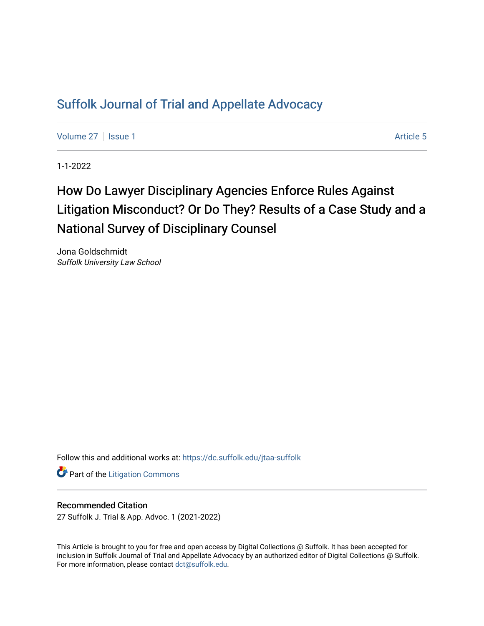# [Suffolk Journal of Trial and Appellate Advocacy](https://dc.suffolk.edu/jtaa-suffolk)

[Volume 27](https://dc.suffolk.edu/jtaa-suffolk/vol27) | [Issue 1](https://dc.suffolk.edu/jtaa-suffolk/vol27/iss1) Article 5

1-1-2022

# How Do Lawyer Disciplinary Agencies Enforce Rules Against Litigation Misconduct? Or Do They? Results of a Case Study and a National Survey of Disciplinary Counsel

Jona Goldschmidt Suffolk University Law School

Follow this and additional works at: [https://dc.suffolk.edu/jtaa-suffolk](https://dc.suffolk.edu/jtaa-suffolk?utm_source=dc.suffolk.edu%2Fjtaa-suffolk%2Fvol27%2Fiss1%2F5&utm_medium=PDF&utm_campaign=PDFCoverPages) 

**Part of the [Litigation Commons](https://network.bepress.com/hgg/discipline/910?utm_source=dc.suffolk.edu%2Fjtaa-suffolk%2Fvol27%2Fiss1%2F5&utm_medium=PDF&utm_campaign=PDFCoverPages)** 

## Recommended Citation

27 Suffolk J. Trial & App. Advoc. 1 (2021-2022)

This Article is brought to you for free and open access by Digital Collections @ Suffolk. It has been accepted for inclusion in Suffolk Journal of Trial and Appellate Advocacy by an authorized editor of Digital Collections @ Suffolk. For more information, please contact [dct@suffolk.edu](mailto:dct@suffolk.edu).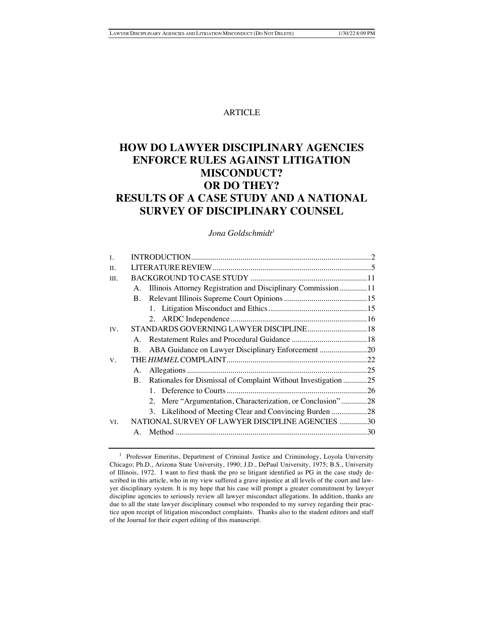## ARTICLE

## **HOW DO LAWYER DISCIPLINARY AGENCIES ENFORCE RULES AGAINST LITIGATION MISCONDUCT? OR DO THEY? RESULTS OF A CASE STUDY AND A NATIONAL SURVEY OF DISCIPLINARY COUNSEL**

## *Jona Goldschmidt1*

| L    |                                                  |                                                                   |  |
|------|--------------------------------------------------|-------------------------------------------------------------------|--|
| II.  |                                                  |                                                                   |  |
| III. |                                                  |                                                                   |  |
|      |                                                  | A. Illinois Attorney Registration and Disciplinary Commission11   |  |
|      | <b>B.</b>                                        |                                                                   |  |
|      |                                                  |                                                                   |  |
|      |                                                  |                                                                   |  |
| IV.  |                                                  | STANDARDS GOVERNING LAWYER DISCIPLINE 18                          |  |
|      | $A_{-}$                                          |                                                                   |  |
|      | B.                                               | ABA Guidance on Lawyer Disciplinary Enforcement 20                |  |
| V.   |                                                  |                                                                   |  |
|      | A.                                               |                                                                   |  |
|      |                                                  | B. Rationales for Dismissal of Complaint Without Investigation 25 |  |
|      |                                                  |                                                                   |  |
|      |                                                  | 2. Mere "Argumentation, Characterization, or Conclusion"28        |  |
|      |                                                  | 3. Likelihood of Meeting Clear and Convincing Burden 28           |  |
| VI.  | NATIONAL SURVEY OF LAWYER DISCIPLINE AGENCIES 30 |                                                                   |  |
|      | $\mathbf{A}$                                     |                                                                   |  |
|      |                                                  |                                                                   |  |

<sup>&</sup>lt;sup>1</sup> Professor Emeritus, Department of Criminal Justice and Criminology, Loyola University Chicago; Ph.D., Arizona State University, 1990; J.D., DePaul University, 1975; B.S., University of Illinois, 1972. I want to first thank the pro se litigant identified as PG in the case study described in this article, who in my view suffered a grave injustice at all levels of the court and lawyer disciplinary system. It is my hope that his case will prompt a greater commitment by lawyer discipline agencies to seriously review all lawyer misconduct allegations. In addition, thanks are due to all the state lawyer disciplinary counsel who responded to my survey regarding their practice upon receipt of litigation misconduct complaints. Thanks also to the student editors and staff of the Journal for their expert editing of this manuscript.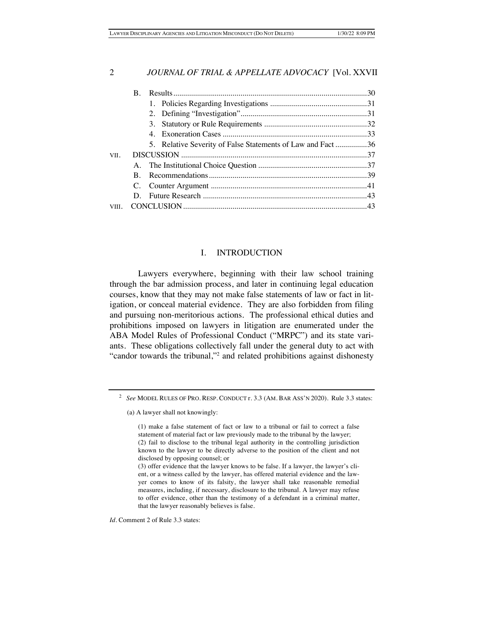|       | $\mathbf{B}$ . |                                                             |  |
|-------|----------------|-------------------------------------------------------------|--|
|       |                |                                                             |  |
|       |                |                                                             |  |
|       |                |                                                             |  |
|       |                |                                                             |  |
|       |                | 5. Relative Severity of False Statements of Law and Fact 36 |  |
| VII.  |                |                                                             |  |
|       |                |                                                             |  |
|       | R.             |                                                             |  |
|       |                |                                                             |  |
|       |                |                                                             |  |
| VIII. |                |                                                             |  |

## I. INTRODUCTION

Lawyers everywhere, beginning with their law school training through the bar admission process, and later in continuing legal education courses, know that they may not make false statements of law or fact in litigation, or conceal material evidence. They are also forbidden from filing and pursuing non-meritorious actions. The professional ethical duties and prohibitions imposed on lawyers in litigation are enumerated under the ABA Model Rules of Professional Conduct ("MRPC") and its state variants. These obligations collectively fall under the general duty to act with "candor towards the tribunal,"2 and related prohibitions against dishonesty

*Id.* Comment 2 of Rule 3.3 states:

<sup>2</sup> *See* MODEL RULES OF PRO. RESP. CONDUCT r. 3.3 (AM. BAR ASS'N 2020). Rule 3.3 states:

<sup>(</sup>a) A lawyer shall not knowingly:

<sup>(1)</sup> make a false statement of fact or law to a tribunal or fail to correct a false statement of material fact or law previously made to the tribunal by the lawyer; (2) fail to disclose to the tribunal legal authority in the controlling jurisdiction known to the lawyer to be directly adverse to the position of the client and not disclosed by opposing counsel; or

<sup>(3)</sup> offer evidence that the lawyer knows to be false. If a lawyer, the lawyer's client, or a witness called by the lawyer, has offered material evidence and the lawyer comes to know of its falsity, the lawyer shall take reasonable remedial measures, including, if necessary, disclosure to the tribunal. A lawyer may refuse to offer evidence, other than the testimony of a defendant in a criminal matter, that the lawyer reasonably believes is false.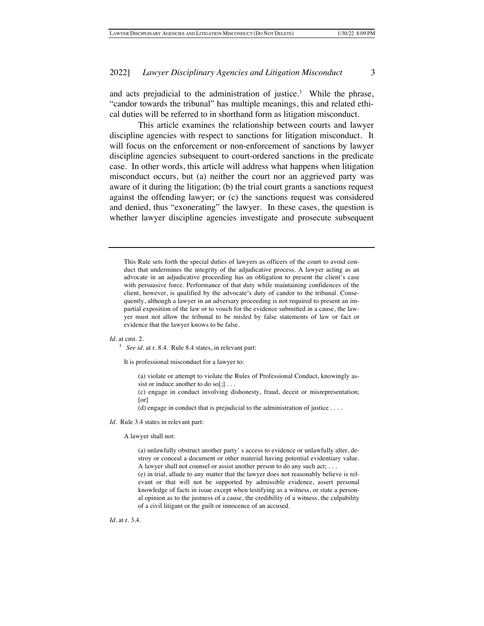and acts prejudicial to the administration of justice.<sup>3</sup> While the phrase, "candor towards the tribunal" has multiple meanings, this and related ethical duties will be referred to in shorthand form as litigation misconduct.

This article examines the relationship between courts and lawyer discipline agencies with respect to sanctions for litigation misconduct. It will focus on the enforcement or non-enforcement of sanctions by lawyer discipline agencies subsequent to court-ordered sanctions in the predicate case. In other words, this article will address what happens when litigation misconduct occurs, but (a) neither the court nor an aggrieved party was aware of it during the litigation; (b) the trial court grants a sanctions request against the offending lawyer; or (c) the sanctions request was considered and denied, thus "exonerating" the lawyer. In these cases, the question is whether lawyer discipline agencies investigate and prosecute subsequent

This Rule sets forth the special duties of lawyers as officers of the court to avoid conduct that undermines the integrity of the adjudicative process. A lawyer acting as an advocate in an adjudicative proceeding has an obligation to present the client's case with persuasive force. Performance of that duty while maintaining confidences of the client, however, is qualified by the advocate's duty of candor to the tribunal. Consequently, although a lawyer in an adversary proceeding is not required to present an impartial exposition of the law or to vouch for the evidence submitted in a cause, the lawyer must not allow the tribunal to be misled by false statements of law or fact or evidence that the lawyer knows to be false.

#### *Id.* at cmt. 2.

<sup>3</sup> *See id.* at r. 8.4. Rule 8.4 states, in relevant part:

It is professional misconduct for a lawyer to:

(a) violate or attempt to violate the Rules of Professional Conduct, knowingly assist or induce another to do so[;]...

(c) engage in conduct involving dishonesty, fraud, deceit or misrepresentation; [or]

(d) engage in conduct that is prejudicial to the administration of justice . . . .

*Id*. Rule 3.4 states in relevant part:

#### A lawyer shall not:

(a) unlawfully obstruct another party' s access to evidence or unlawfully alter, destroy or conceal a document or other material having potential evidentiary value. A lawyer shall not counsel or assist another person to do any such act; . . . (e) in trial, allude to any matter that the lawyer does not reasonably believe is relevant or that will not be supported by admissible evidence, assert personal

knowledge of facts in issue except when testifying as a witness, or state a personal opinion as to the justness of a cause, the credibility of a witness, the culpability of a civil litigant or the guilt or innocence of an accused.

*Id.* at r. 3.4.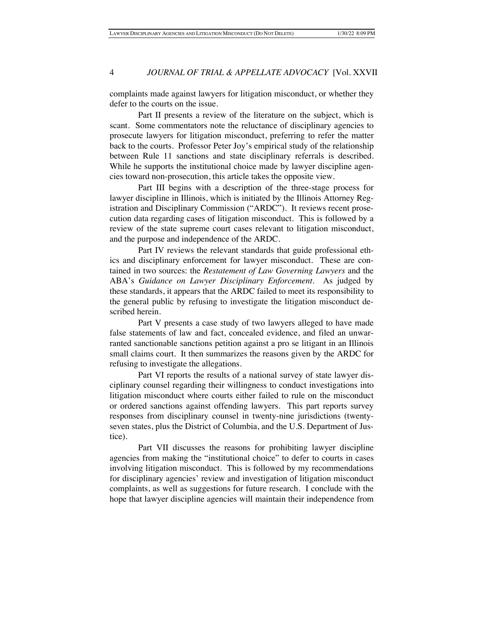complaints made against lawyers for litigation misconduct, or whether they defer to the courts on the issue.

Part II presents a review of the literature on the subject, which is scant. Some commentators note the reluctance of disciplinary agencies to prosecute lawyers for litigation misconduct, preferring to refer the matter back to the courts. Professor Peter Joy's empirical study of the relationship between Rule 11 sanctions and state disciplinary referrals is described. While he supports the institutional choice made by lawyer discipline agencies toward non-prosecution, this article takes the opposite view.

Part III begins with a description of the three-stage process for lawyer discipline in Illinois, which is initiated by the Illinois Attorney Registration and Disciplinary Commission ("ARDC"). It reviews recent prosecution data regarding cases of litigation misconduct. This is followed by a review of the state supreme court cases relevant to litigation misconduct, and the purpose and independence of the ARDC.

Part IV reviews the relevant standards that guide professional ethics and disciplinary enforcement for lawyer misconduct. These are contained in two sources: the *Restatement of Law Governing Lawyers* and the ABA's *Guidance on Lawyer Disciplinary Enforcement*. As judged by these standards, it appears that the ARDC failed to meet its responsibility to the general public by refusing to investigate the litigation misconduct described herein.

Part V presents a case study of two lawyers alleged to have made false statements of law and fact, concealed evidence, and filed an unwarranted sanctionable sanctions petition against a pro se litigant in an Illinois small claims court. It then summarizes the reasons given by the ARDC for refusing to investigate the allegations.

Part VI reports the results of a national survey of state lawyer disciplinary counsel regarding their willingness to conduct investigations into litigation misconduct where courts either failed to rule on the misconduct or ordered sanctions against offending lawyers. This part reports survey responses from disciplinary counsel in twenty-nine jurisdictions (twentyseven states, plus the District of Columbia, and the U.S. Department of Justice).

Part VII discusses the reasons for prohibiting lawyer discipline agencies from making the "institutional choice" to defer to courts in cases involving litigation misconduct. This is followed by my recommendations for disciplinary agencies' review and investigation of litigation misconduct complaints, as well as suggestions for future research. I conclude with the hope that lawyer discipline agencies will maintain their independence from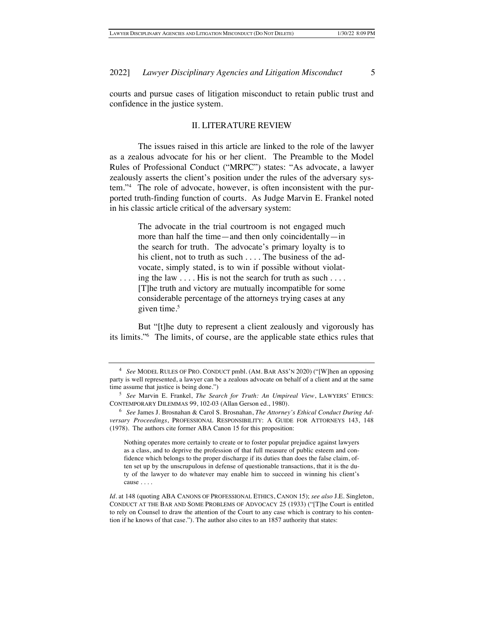courts and pursue cases of litigation misconduct to retain public trust and confidence in the justice system.

## II. LITERATURE REVIEW

The issues raised in this article are linked to the role of the lawyer as a zealous advocate for his or her client. The Preamble to the Model Rules of Professional Conduct ("MRPC") states: "As advocate, a lawyer zealously asserts the client's position under the rules of the adversary system."4 The role of advocate, however, is often inconsistent with the purported truth-finding function of courts. As Judge Marvin E. Frankel noted in his classic article critical of the adversary system:

> The advocate in the trial courtroom is not engaged much more than half the time—and then only coincidentally—in the search for truth. The advocate's primary loyalty is to his client, not to truth as such . . . . The business of the advocate, simply stated, is to win if possible without violating the law .... His is not the search for truth as such .... [T]he truth and victory are mutually incompatible for some considerable percentage of the attorneys trying cases at any given time.<sup>5</sup>

But "[t]he duty to represent a client zealously and vigorously has its limits."6 The limits, of course, are the applicable state ethics rules that

Nothing operates more certainly to create or to foster popular prejudice against lawyers as a class, and to deprive the profession of that full measure of public esteem and confidence which belongs to the proper discharge if its duties than does the false claim, often set up by the unscrupulous in defense of questionable transactions, that it is the duty of the lawyer to do whatever may enable him to succeed in winning his client's cause . . . .

<sup>4</sup> *See* MODEL RULES OF PRO. CONDUCT pmbl. (AM. BAR ASS'N 2020) ("[W]hen an opposing party is well represented, a lawyer can be a zealous advocate on behalf of a client and at the same time assume that justice is being done.")

<sup>5</sup> *See* Marvin E. Frankel, *The Search for Truth: An Umpireal View*, LAWYERS' ETHICS: CONTEMPORARY DILEMMAS 99, 102-03 (Allan Gerson ed., 1980).

<sup>6</sup> *See* James J. Brosnahan & Carol S. Brosnahan, *The Attorney's Ethical Conduct During Adversary Proceedings*, PROFESSIONAL RESPONSIBILITY: A GUIDE FOR ATTORNEYS 143, 148 (1978). The authors cite former ABA Canon 15 for this proposition:

*Id*. at 148 (quoting ABA CANONS OF PROFESSIONAL ETHICS, CANON 15); *see also* J.E. Singleton, CONDUCT AT THE BAR AND SOME PROBLEMS OF ADVOCACY 25 (1933) ("[T]he Court is entitled to rely on Counsel to draw the attention of the Court to any case which is contrary to his contention if he knows of that case."). The author also cites to an 1857 authority that states: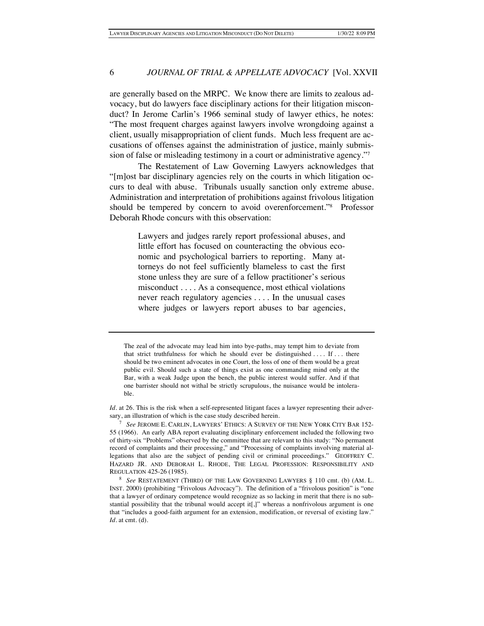are generally based on the MRPC. We know there are limits to zealous advocacy, but do lawyers face disciplinary actions for their litigation misconduct? In Jerome Carlin's 1966 seminal study of lawyer ethics, he notes: "The most frequent charges against lawyers involve wrongdoing against a client, usually misappropriation of client funds. Much less frequent are accusations of offenses against the administration of justice, mainly submission of false or misleading testimony in a court or administrative agency."7

The Restatement of Law Governing Lawyers acknowledges that "[m]ost bar disciplinary agencies rely on the courts in which litigation occurs to deal with abuse. Tribunals usually sanction only extreme abuse. Administration and interpretation of prohibitions against frivolous litigation should be tempered by concern to avoid overenforcement."8 Professor Deborah Rhode concurs with this observation:

> Lawyers and judges rarely report professional abuses, and little effort has focused on counteracting the obvious economic and psychological barriers to reporting. Many attorneys do not feel sufficiently blameless to cast the first stone unless they are sure of a fellow practitioner's serious misconduct . . . . As a consequence, most ethical violations never reach regulatory agencies . . . . In the unusual cases where judges or lawyers report abuses to bar agencies,

The zeal of the advocate may lead him into bye-paths, may tempt him to deviate from that strict truthfulness for which he should ever be distinguished  $\dots$  If  $\dots$  there should be two eminent advocates in one Court, the loss of one of them would be a great public evil. Should such a state of things exist as one commanding mind only at the Bar, with a weak Judge upon the bench, the public interest would suffer. And if that one barrister should not withal be strictly scrupulous, the nuisance would be intolerable.

*Id.* at 26. This is the risk when a self-represented litigant faces a lawyer representing their adversary, an illustration of which is the case study described herein.

<sup>7</sup> *See* JEROME E. CARLIN, LAWYERS' ETHICS: A SURVEY OF THE NEW YORK CITY BAR 152- 55 (1966). An early ABA report evaluating disciplinary enforcement included the following two of thirty-six "Problems" observed by the committee that are relevant to this study: "No permanent record of complaints and their processing," and "Processing of complaints involving material allegations that also are the subject of pending civil or criminal proceedings." GEOFFREY C. HAZARD JR. AND DEBORAH L. RHODE, THE LEGAL PROFESSION: RESPONSIBILITY AND REGULATION 425-26 (1985).

<sup>8</sup> *See* RESTATEMENT (THIRD) OF THE LAW GOVERNING LAWYERS § 110 cmt. (b) (AM. L. INST. 2000) (prohibiting "Frivolous Advocacy"). The definition of a "frivolous position" is "one that a lawyer of ordinary competence would recognize as so lacking in merit that there is no substantial possibility that the tribunal would accept it[,]" whereas a nonfrivolous argument is one that "includes a good-faith argument for an extension, modification, or reversal of existing law." *Id*. at cmt. (d).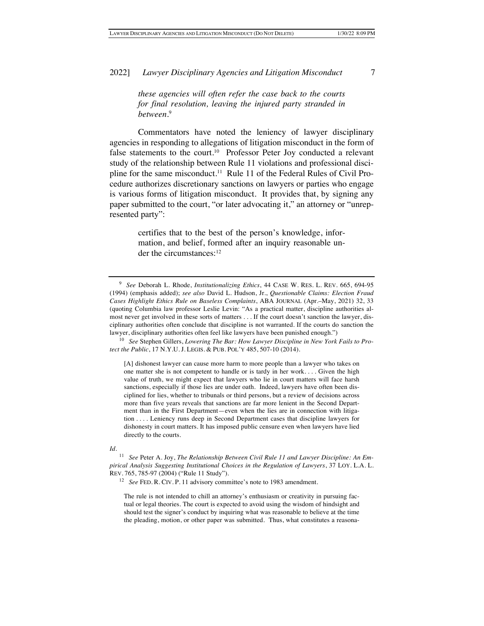*these agencies will often refer the case back to the courts for final resolution, leaving the injured party stranded in between*. 9

Commentators have noted the leniency of lawyer disciplinary agencies in responding to allegations of litigation misconduct in the form of false statements to the court.<sup>10</sup> Professor Peter Joy conducted a relevant study of the relationship between Rule 11 violations and professional discipline for the same misconduct.<sup>11</sup> Rule 11 of the Federal Rules of Civil Procedure authorizes discretionary sanctions on lawyers or parties who engage is various forms of litigation misconduct. It provides that, by signing any paper submitted to the court, "or later advocating it," an attorney or "unrepresented party":

> certifies that to the best of the person's knowledge, information, and belief, formed after an inquiry reasonable under the circumstances:<sup>12</sup>

[A] dishonest lawyer can cause more harm to more people than a lawyer who takes on one matter she is not competent to handle or is tardy in her work. . . . Given the high value of truth, we might expect that lawyers who lie in court matters will face harsh sanctions, especially if those lies are under oath. Indeed, lawyers have often been disciplined for lies, whether to tribunals or third persons, but a review of decisions across more than five years reveals that sanctions are far more lenient in the Second Department than in the First Department—even when the lies are in connection with litigation . . . . Leniency runs deep in Second Department cases that discipline lawyers for dishonesty in court matters. It has imposed public censure even when lawyers have lied directly to the courts.

*Id*.

The rule is not intended to chill an attorney's enthusiasm or creativity in pursuing factual or legal theories. The court is expected to avoid using the wisdom of hindsight and should test the signer's conduct by inquiring what was reasonable to believe at the time the pleading, motion, or other paper was submitted. Thus, what constitutes a reasona-

<sup>9</sup> *See* Deborah L. Rhode, *Institutionalizing Ethics*, 44 CASE W. RES. L. REV. 665, 694-95 (1994) (emphasis added); *see also* David L. Hudson, Jr., *Questionable Claims: Election Fraud Cases Highlight Ethics Rule on Baseless Complaints*, ABA JOURNAL (Apr.–May, 2021) 32, 33 (quoting Columbia law professor Leslie Levin: "As a practical matter, discipline authorities almost never get involved in these sorts of matters . . . If the court doesn't sanction the lawyer, disciplinary authorities often conclude that discipline is not warranted. If the courts do sanction the lawyer, disciplinary authorities often feel like lawyers have been punished enough.")

<sup>10</sup> *See* Stephen Gillers, *Lowering The Bar: How Lawyer Discipline in New York Fails to Protect the Public*, 17 N.Y.U. J. LEGIS. & PUB. POL'Y 485, 507-10 (2014).

<sup>11</sup> *See* Peter A. Joy, *The Relationship Between Civil Rule 11 and Lawyer Discipline: An Empirical Analysis Suggesting Institutional Choices in the Regulation of Lawyers*, 37 LOY. L.A. L. REV. 765, 785-97 (2004) ("Rule 11 Study").

<sup>&</sup>lt;sup>12</sup> *See FED. R. CIV. P. 11 advisory committee's note to 1983 amendment.*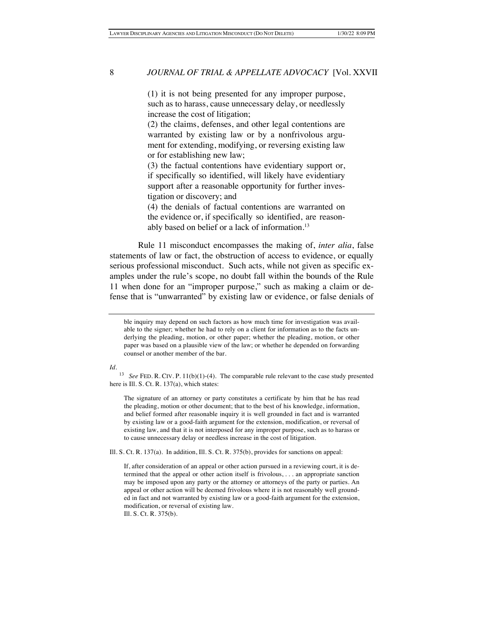(1) it is not being presented for any improper purpose, such as to harass, cause unnecessary delay, or needlessly increase the cost of litigation;

(2) the claims, defenses, and other legal contentions are warranted by existing law or by a nonfrivolous argument for extending, modifying, or reversing existing law or for establishing new law;

(3) the factual contentions have evidentiary support or, if specifically so identified, will likely have evidentiary support after a reasonable opportunity for further investigation or discovery; and

(4) the denials of factual contentions are warranted on the evidence or, if specifically so identified, are reasonably based on belief or a lack of information.13

Rule 11 misconduct encompasses the making of, *inter alia*, false statements of law or fact, the obstruction of access to evidence, or equally serious professional misconduct. Such acts, while not given as specific examples under the rule's scope, no doubt fall within the bounds of the Rule 11 when done for an "improper purpose," such as making a claim or defense that is "unwarranted" by existing law or evidence, or false denials of

#### *Id.*

<sup>13</sup> *See* FED. R. CIV. P. 11(b)(1)-(4). The comparable rule relevant to the case study presented here is Ill. S. Ct. R. 137(a), which states:

The signature of an attorney or party constitutes a certificate by him that he has read the pleading, motion or other document; that to the best of his knowledge, information, and belief formed after reasonable inquiry it is well grounded in fact and is warranted by existing law or a good-faith argument for the extension, modification, or reversal of existing law, and that it is not interposed for any improper purpose, such as to harass or to cause unnecessary delay or needless increase in the cost of litigation.

Ill. S. Ct. R. 137(a). In addition, Ill. S. Ct. R. 375(b), provides for sanctions on appeal:

If, after consideration of an appeal or other action pursued in a reviewing court, it is determined that the appeal or other action itself is frivolous, . . . an appropriate sanction may be imposed upon any party or the attorney or attorneys of the party or parties. An appeal or other action will be deemed frivolous where it is not reasonably well grounded in fact and not warranted by existing law or a good-faith argument for the extension, modification, or reversal of existing law. Ill. S. Ct. R. 375(b).

ble inquiry may depend on such factors as how much time for investigation was available to the signer; whether he had to rely on a client for information as to the facts underlying the pleading, motion, or other paper; whether the pleading, motion, or other paper was based on a plausible view of the law; or whether he depended on forwarding counsel or another member of the bar.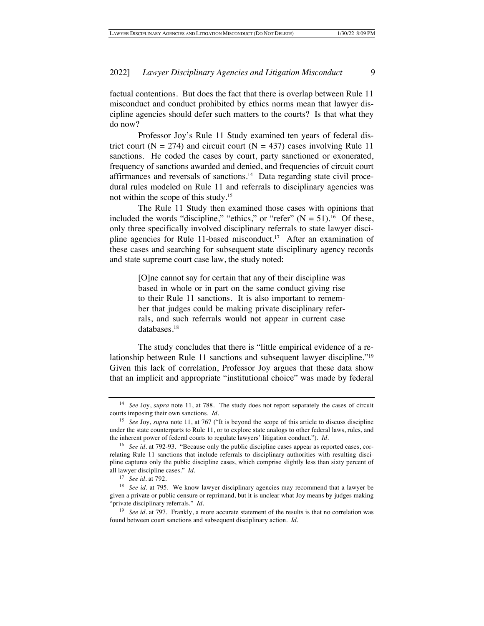factual contentions. But does the fact that there is overlap between Rule 11 misconduct and conduct prohibited by ethics norms mean that lawyer discipline agencies should defer such matters to the courts? Is that what they do now?

Professor Joy's Rule 11 Study examined ten years of federal district court ( $N = 274$ ) and circuit court ( $N = 437$ ) cases involving Rule 11 sanctions. He coded the cases by court, party sanctioned or exonerated, frequency of sanctions awarded and denied, and frequencies of circuit court affirmances and reversals of sanctions.14 Data regarding state civil procedural rules modeled on Rule 11 and referrals to disciplinary agencies was not within the scope of this study.15

The Rule 11 Study then examined those cases with opinions that included the words "discipline," "ethics," or "refer"  $(N = 51)$ .<sup>16</sup> Of these, only three specifically involved disciplinary referrals to state lawyer discipline agencies for Rule 11-based misconduct.<sup>17</sup> After an examination of these cases and searching for subsequent state disciplinary agency records and state supreme court case law, the study noted:

> [O]ne cannot say for certain that any of their discipline was based in whole or in part on the same conduct giving rise to their Rule 11 sanctions. It is also important to remember that judges could be making private disciplinary referrals, and such referrals would not appear in current case databases.18

The study concludes that there is "little empirical evidence of a relationship between Rule 11 sanctions and subsequent lawyer discipline."19 Given this lack of correlation, Professor Joy argues that these data show that an implicit and appropriate "institutional choice" was made by federal

<sup>14</sup> *See* Joy, *supra* note 11, at 788. The study does not report separately the cases of circuit courts imposing their own sanctions. *Id.*

<sup>15</sup> *See* Joy, *supra* note 11, at 767 ("It is beyond the scope of this article to discuss discipline under the state counterparts to Rule 11, or to explore state analogs to other federal laws, rules, and the inherent power of federal courts to regulate lawyers' litigation conduct."). *Id.*

<sup>16</sup> *See id.* at 792-93."Because only the public discipline cases appear as reported cases, correlating Rule 11 sanctions that include referrals to disciplinary authorities with resulting discipline captures only the public discipline cases, which comprise slightly less than sixty percent of all lawyer discipline cases." *Id*.

<sup>17</sup> *See id.* at 792.

<sup>&</sup>lt;sup>18</sup> *See id.* at 795. We know lawyer disciplinary agencies may recommend that a lawyer be given a private or public censure or reprimand, but it is unclear what Joy means by judges making "private disciplinary referrals." *Id.*

<sup>&</sup>lt;sup>19</sup> *See id.* at 797. Frankly, a more accurate statement of the results is that no correlation was found between court sanctions and subsequent disciplinary action. *Id.*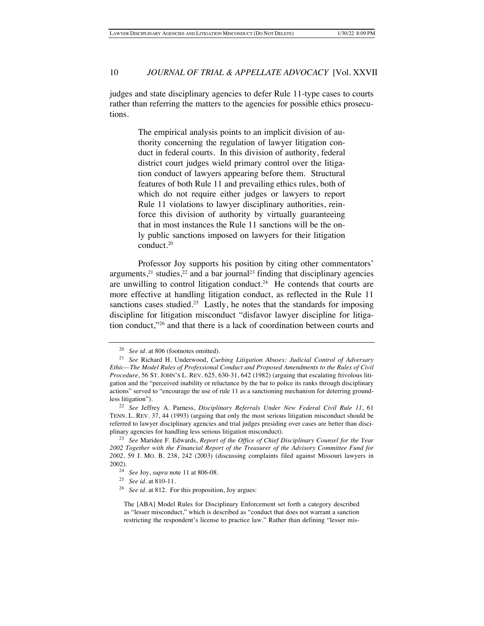judges and state disciplinary agencies to defer Rule 11-type cases to courts rather than referring the matters to the agencies for possible ethics prosecutions.

> The empirical analysis points to an implicit division of authority concerning the regulation of lawyer litigation conduct in federal courts. In this division of authority, federal district court judges wield primary control over the litigation conduct of lawyers appearing before them. Structural features of both Rule 11 and prevailing ethics rules, both of which do not require either judges or lawyers to report Rule 11 violations to lawyer disciplinary authorities, reinforce this division of authority by virtually guaranteeing that in most instances the Rule 11 sanctions will be the only public sanctions imposed on lawyers for their litigation conduct.20

Professor Joy supports his position by citing other commentators' arguments, $21$  studies, $22$  and a bar journal<sup>23</sup> finding that disciplinary agencies are unwilling to control litigation conduct.<sup>24</sup> He contends that courts are more effective at handling litigation conduct, as reflected in the Rule 11 sanctions cases studied.<sup>25</sup> Lastly, he notes that the standards for imposing discipline for litigation misconduct "disfavor lawyer discipline for litigation conduct,"26 and that there is a lack of coordination between courts and

<sup>20</sup> *See id*. at 806 (footnotes omitted).

<sup>21</sup> *See* Richard H. Underwood, *Curbing Litigation Abuses: Judicial Control of Adversary Ethic—The Model Rules of Professional Conduct and Proposed Amendments to the Rules of Civil Procedure*, 56 ST. JOHN'S L. REV. 625, 630-31, 642 (1982) (arguing that escalating frivolous litigation and the "perceived inability or reluctance by the bar to police its ranks through disciplinary actions" served to "encourage the use of rule 11 as a sanctioning mechanism for deterring groundless litigation").

<sup>22</sup> *See* Jeffrey A. Parness, *Disciplinary Referrals Under New Federal Civil Rule 11*, 61 TENN. L. REV. 37, 44 (1993) (arguing that only the most serious litigation misconduct should be referred to lawyer disciplinary agencies and trial judges presiding over cases are better than disciplinary agencies for handling less serious litigation misconduct).

<sup>23</sup> *See* Maridee F. Edwards, *Report of the Office of Chief Disciplinary Counsel for the Year 2002 Together with the Financial Report of the Treasurer of the Advisory Committee Fund for 2002*, 59 J. MO. B. 238, 242 (2003) (discussing complaints filed against Missouri lawyers in 2002).

<sup>24</sup> *See* Joy, *supra* note 11 at 806-08.

<sup>25</sup> *See id*. at 810-11.

<sup>26</sup> *See id*. at 812. For this proposition, Joy argues:

The [ABA] Model Rules for Disciplinary Enforcement set forth a category described as "lesser misconduct," which is described as "conduct that does not warrant a sanction restricting the respondent's license to practice law." Rather than defining "lesser mis-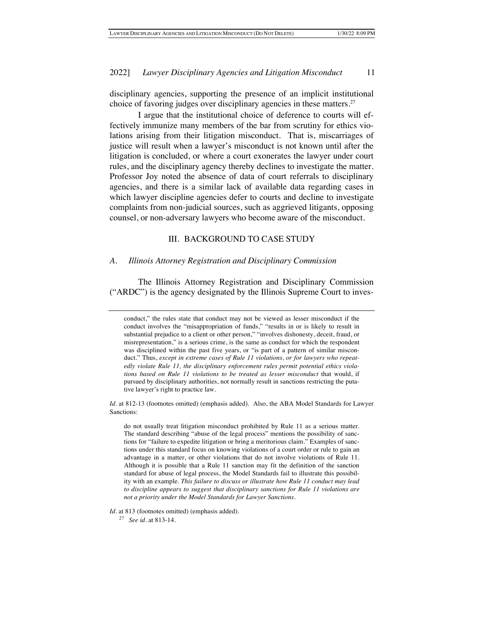disciplinary agencies, supporting the presence of an implicit institutional choice of favoring judges over disciplinary agencies in these matters.<sup>27</sup>

I argue that the institutional choice of deference to courts will effectively immunize many members of the bar from scrutiny for ethics violations arising from their litigation misconduct. That is, miscarriages of justice will result when a lawyer's misconduct is not known until after the litigation is concluded, or where a court exonerates the lawyer under court rules, and the disciplinary agency thereby declines to investigate the matter. Professor Joy noted the absence of data of court referrals to disciplinary agencies, and there is a similar lack of available data regarding cases in which lawyer discipline agencies defer to courts and decline to investigate complaints from non-judicial sources, such as aggrieved litigants, opposing counsel, or non-adversary lawyers who become aware of the misconduct.

## III. BACKGROUND TO CASE STUDY

#### *A. Illinois Attorney Registration and Disciplinary Commission*

The Illinois Attorney Registration and Disciplinary Commission ("ARDC") is the agency designated by the Illinois Supreme Court to inves-

do not usually treat litigation misconduct prohibited by Rule 11 as a serious matter. The standard describing "abuse of the legal process" mentions the possibility of sanctions for "failure to expedite litigation or bring a meritorious claim." Examples of sanctions under this standard focus on knowing violations of a court order or rule to gain an advantage in a matter, or other violations that do not involve violations of Rule 11. Although it is possible that a Rule 11 sanction may fit the definition of the sanction standard for abuse of legal process, the Model Standards fail to illustrate this possibility with an example. *This failure to discuss or illustrate how Rule 11 conduct may lead to discipline appears to suggest that disciplinary sanctions for Rule 11 violations are not a priority under the Model Standards for Lawyer Sanctions*.

*Id*. at 813 (footnotes omitted) (emphasis added).

<sup>27</sup> *See id*. at 813-14.

conduct," the rules state that conduct may not be viewed as lesser misconduct if the conduct involves the "misappropriation of funds," "results in or is likely to result in substantial prejudice to a client or other person," "involves dishonesty, deceit, fraud, or misrepresentation," is a serious crime, is the same as conduct for which the respondent was disciplined within the past five years, or "is part of a pattern of similar misconduct." Thus, *except in extreme cases of Rule 11 violations, or for lawyers who repeatedly violate Rule 11, the disciplinary enforcement rules permit potential ethics violations based on Rule 11 violations to be treated as lesser misconduct* that would, if pursued by disciplinary authorities, not normally result in sanctions restricting the putative lawyer's right to practice law.

*Id*. at 812-13 (footnotes omitted) (emphasis added). Also, the ABA Model Standards for Lawyer Sanctions: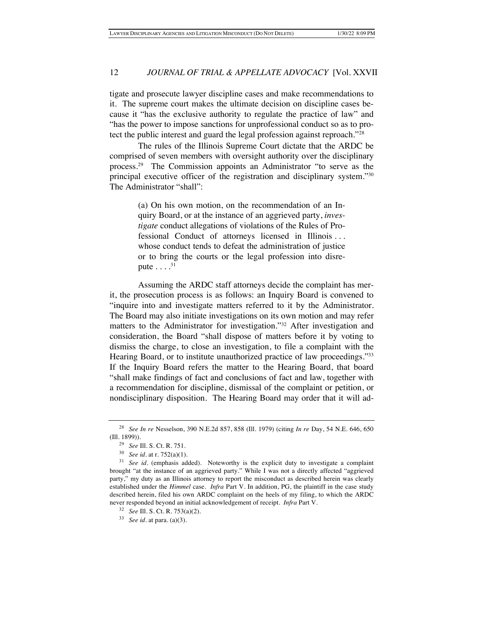tigate and prosecute lawyer discipline cases and make recommendations to it. The supreme court makes the ultimate decision on discipline cases because it "has the exclusive authority to regulate the practice of law" and "has the power to impose sanctions for unprofessional conduct so as to protect the public interest and guard the legal profession against reproach."28

The rules of the Illinois Supreme Court dictate that the ARDC be comprised of seven members with oversight authority over the disciplinary process.29 The Commission appoints an Administrator "to serve as the principal executive officer of the registration and disciplinary system."30 The Administrator "shall":

> (a) On his own motion, on the recommendation of an Inquiry Board, or at the instance of an aggrieved party, *investigate* conduct allegations of violations of the Rules of Professional Conduct of attorneys licensed in Illinois . . . whose conduct tends to defeat the administration of justice or to bring the courts or the legal profession into disrepute  $\dots$   $^{31}$

Assuming the ARDC staff attorneys decide the complaint has merit, the prosecution process is as follows: an Inquiry Board is convened to "inquire into and investigate matters referred to it by the Administrator. The Board may also initiate investigations on its own motion and may refer matters to the Administrator for investigation."32 After investigation and consideration, the Board "shall dispose of matters before it by voting to dismiss the charge, to close an investigation, to file a complaint with the Hearing Board, or to institute unauthorized practice of law proceedings."33 If the Inquiry Board refers the matter to the Hearing Board, that board "shall make findings of fact and conclusions of fact and law, together with a recommendation for discipline, dismissal of the complaint or petition, or nondisciplinary disposition. The Hearing Board may order that it will ad-

<sup>28</sup> *See In re* Nesselson, 390 N.E.2d 857, 858 (Ill. 1979) (citing *In re* Day, 54 N.E. 646, 650 (Ill. 1899)).

<sup>29</sup> *See* Ill. S. Ct. R. 751.

<sup>30</sup> *See id*. at r. 752(a)(1).

<sup>&</sup>lt;sup>31</sup> *See id.* (emphasis added). Noteworthy is the explicit duty to investigate a complaint brought "at the instance of an aggrieved party." While I was not a directly affected "aggrieved party," my duty as an Illinois attorney to report the misconduct as described herein was clearly established under the *Himmel* case. *Infra* Part V. In addition, PG, the plaintiff in the case study described herein, filed his own ARDC complaint on the heels of my filing, to which the ARDC never responded beyond an initial acknowledgement of receipt. *Infra* Part V.

<sup>32</sup> *See* Ill. S. Ct. R. 753(a)(2).

<sup>33</sup> *See id.* at para. (a)(3).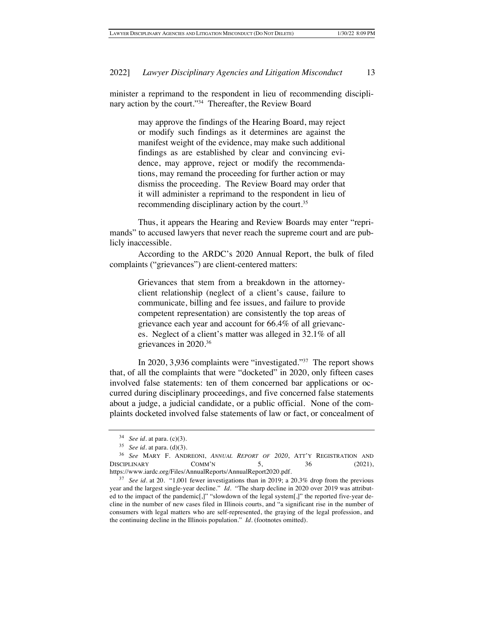minister a reprimand to the respondent in lieu of recommending disciplinary action by the court."<sup>34</sup> Thereafter, the Review Board

> may approve the findings of the Hearing Board, may reject or modify such findings as it determines are against the manifest weight of the evidence, may make such additional findings as are established by clear and convincing evidence, may approve, reject or modify the recommendations, may remand the proceeding for further action or may dismiss the proceeding. The Review Board may order that it will administer a reprimand to the respondent in lieu of recommending disciplinary action by the court.<sup>35</sup>

Thus, it appears the Hearing and Review Boards may enter "reprimands" to accused lawyers that never reach the supreme court and are publicly inaccessible.

According to the ARDC's 2020 Annual Report, the bulk of filed complaints ("grievances") are client-centered matters:

> Grievances that stem from a breakdown in the attorneyclient relationship (neglect of a client's cause, failure to communicate, billing and fee issues, and failure to provide competent representation) are consistently the top areas of grievance each year and account for 66.4% of all grievances. Neglect of a client's matter was alleged in 32.1% of all grievances in 2020.36

In 2020, 3,936 complaints were "investigated."37 The report shows that, of all the complaints that were "docketed" in 2020, only fifteen cases involved false statements: ten of them concerned bar applications or occurred during disciplinary proceedings, and five concerned false statements about a judge, a judicial candidate, or a public official. None of the complaints docketed involved false statements of law or fact, or concealment of

<sup>34</sup> *See id*. at para. (c)(3).

<sup>35</sup> *See id*. at para. (d)(3).

<sup>36</sup> *See* MARY F. ANDREONI, *ANNUAL REPORT OF 2020*, ATT'Y REGISTRATION AND  $DISCIPLINARY$   $COMM'N$  5, 36 (2021), https://www.iardc.org/Files/AnnualReports/AnnualReport2020.pdf.

<sup>37</sup> *See id*. at 20. "1,001 fewer investigations than in 2019; a 20.3% drop from the previous year and the largest single-year decline." *Id*. "The sharp decline in 2020 over 2019 was attributed to the impact of the pandemic[,]" "slowdown of the legal system[,]" the reported five-year decline in the number of new cases filed in Illinois courts, and "a significant rise in the number of consumers with legal matters who are self-represented, the graying of the legal profession, and the continuing decline in the Illinois population." *Id*. (footnotes omitted).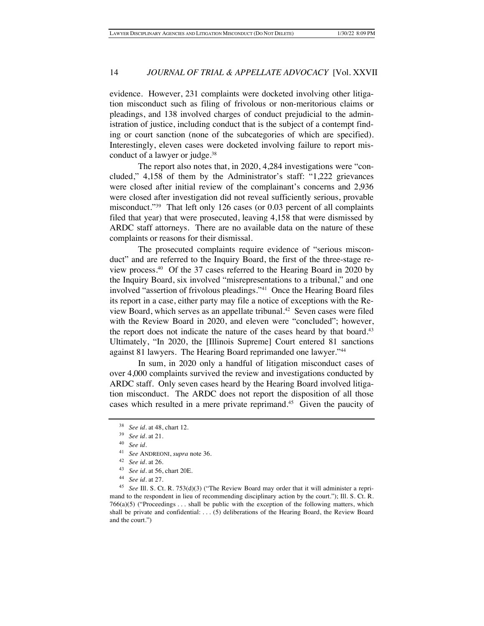evidence. However, 231 complaints were docketed involving other litigation misconduct such as filing of frivolous or non-meritorious claims or pleadings, and 138 involved charges of conduct prejudicial to the administration of justice, including conduct that is the subject of a contempt finding or court sanction (none of the subcategories of which are specified). Interestingly, eleven cases were docketed involving failure to report misconduct of a lawyer or judge.<sup>38</sup>

The report also notes that, in 2020, 4,284 investigations were "concluded," 4,158 of them by the Administrator's staff: "1,222 grievances were closed after initial review of the complainant's concerns and 2,936 were closed after investigation did not reveal sufficiently serious, provable misconduct."39 That left only 126 cases (or 0.03 percent of all complaints filed that year) that were prosecuted, leaving 4,158 that were dismissed by ARDC staff attorneys. There are no available data on the nature of these complaints or reasons for their dismissal.

The prosecuted complaints require evidence of "serious misconduct" and are referred to the Inquiry Board, the first of the three-stage review process.40 Of the 37 cases referred to the Hearing Board in 2020 by the Inquiry Board, six involved "misrepresentations to a tribunal," and one involved "assertion of frivolous pleadings."41 Once the Hearing Board files its report in a case, either party may file a notice of exceptions with the Review Board, which serves as an appellate tribunal.<sup>42</sup> Seven cases were filed with the Review Board in 2020, and eleven were "concluded"; however, the report does not indicate the nature of the cases heard by that board.<sup>43</sup> Ultimately, "In 2020, the [Illinois Supreme] Court entered 81 sanctions against 81 lawyers. The Hearing Board reprimanded one lawyer."44

In sum, in 2020 only a handful of litigation misconduct cases of over 4,000 complaints survived the review and investigations conducted by ARDC staff. Only seven cases heard by the Hearing Board involved litigation misconduct. The ARDC does not report the disposition of all those cases which resulted in a mere private reprimand.<sup>45</sup> Given the paucity of

<sup>&</sup>lt;sup>38</sup> *See id.* at 48, chart 12.

<sup>39</sup> *See id*. at 21.

<sup>40</sup> *See id*.

<sup>41</sup> *See* ANDREONI, *supra* note 36.

<sup>42</sup> *See id*. at 26.

<sup>43</sup> *See id*. at 56, chart 20E.

<sup>44</sup> *See id*. at 27.

<sup>45</sup> *See* Ill. S. Ct. R. 753(d)(3) ("The Review Board may order that it will administer a reprimand to the respondent in lieu of recommending disciplinary action by the court."); Ill. S. Ct. R.  $766(a)(5)$  ("Proceedings ... shall be public with the exception of the following matters, which shall be private and confidential: . . . (5) deliberations of the Hearing Board, the Review Board and the court.")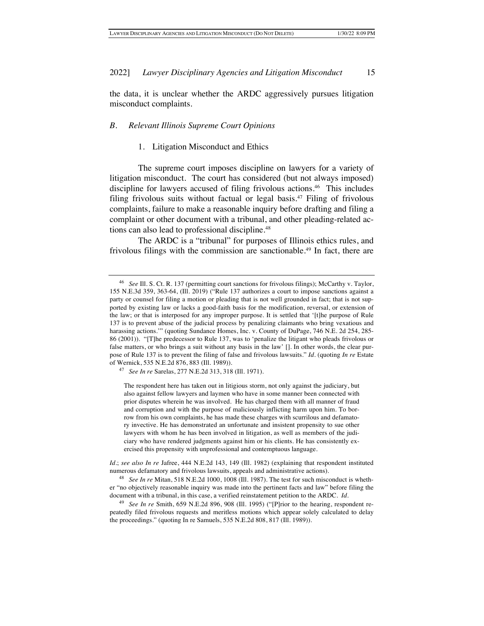the data, it is unclear whether the ARDC aggressively pursues litigation misconduct complaints.

## *B. Relevant Illinois Supreme Court Opinions*

#### 1. Litigation Misconduct and Ethics

The supreme court imposes discipline on lawyers for a variety of litigation misconduct. The court has considered (but not always imposed) discipline for lawyers accused of filing frivolous actions.<sup>46</sup> This includes filing frivolous suits without factual or legal basis.47 Filing of frivolous complaints, failure to make a reasonable inquiry before drafting and filing a complaint or other document with a tribunal, and other pleading-related actions can also lead to professional discipline.<sup>48</sup>

The ARDC is a "tribunal" for purposes of Illinois ethics rules, and frivolous filings with the commission are sanctionable.<sup>49</sup> In fact, there are

<sup>46</sup> *See* Ill. S. Ct. R. 137 (permitting court sanctions for frivolous filings); McCarthy v. Taylor, 155 N.E.3d 359, 363-64, (Ill. 2019) ("Rule 137 authorizes a court to impose sanctions against a party or counsel for filing a motion or pleading that is not well grounded in fact; that is not supported by existing law or lacks a good-faith basis for the modification, reversal, or extension of the law; or that is interposed for any improper purpose. It is settled that '[t]he purpose of Rule 137 is to prevent abuse of the judicial process by penalizing claimants who bring vexatious and harassing actions."" (quoting Sundance Homes, Inc. v. County of DuPage, 746 N.E. 2d 254, 285-86 (2001)). "[T]he predecessor to Rule 137, was to 'penalize the litigant who pleads frivolous or false matters, or who brings a suit without any basis in the law' []. In other words, the clear purpose of Rule 137 is to prevent the filing of false and frivolous lawsuits." *Id.* (quoting *In re* Estate of Wernick, 535 N.E.2d 876, 883 (Ill. 1989)).

<sup>47</sup> *See In re* Sarelas, 277 N.E.2d 313, 318 (Ill. 1971).

The respondent here has taken out in litigious storm, not only against the judiciary, but also against fellow lawyers and laymen who have in some manner been connected with prior disputes wherein he was involved. He has charged them with all manner of fraud and corruption and with the purpose of maliciously inflicting harm upon him. To borrow from his own complaints, he has made these charges with scurrilous and defamatory invective. He has demonstrated an unfortunate and insistent propensity to sue other lawyers with whom he has been involved in litigation, as well as members of the judiciary who have rendered judgments against him or his clients. He has consistently exercised this propensity with unprofessional and contemptuous language.

*Id*.; *see also In re* Jafree, 444 N.E.2d 143, 149 (Ill. 1982) (explaining that respondent instituted numerous defamatory and frivolous lawsuits, appeals and administrative actions).

<sup>48</sup> *See In re* Mitan, 518 N.E.2d 1000, 1008 (Ill. 1987). The test for such misconduct is whether "no objectively reasonable inquiry was made into the pertinent facts and law" before filing the document with a tribunal, in this case, a verified reinstatement petition to the ARDC. *Id.* 

<sup>49</sup> *See In re* Smith, 659 N.E.2d 896, 908 (Ill. 1995) ("[P]rior to the hearing, respondent repeatedly filed frivolous requests and meritless motions which appear solely calculated to delay the proceedings." (quoting In re Samuels, 535 N.E.2d 808, 817 (Ill. 1989)).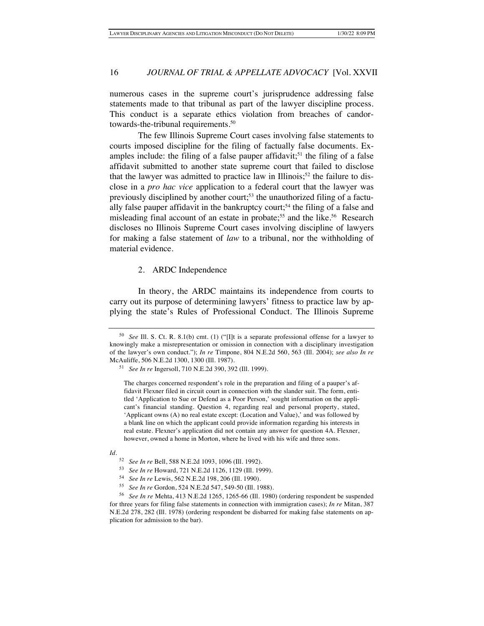numerous cases in the supreme court's jurisprudence addressing false statements made to that tribunal as part of the lawyer discipline process. This conduct is a separate ethics violation from breaches of candortowards-the-tribunal requirements.50

The few Illinois Supreme Court cases involving false statements to courts imposed discipline for the filing of factually false documents. Examples include: the filing of a false pauper affidavit;<sup>51</sup> the filing of a false affidavit submitted to another state supreme court that failed to disclose that the lawyer was admitted to practice law in Illinois;<sup>52</sup> the failure to disclose in a *pro hac vice* application to a federal court that the lawyer was previously disciplined by another court;<sup>53</sup> the unauthorized filing of a factually false pauper affidavit in the bankruptcy court;<sup>54</sup> the filing of a false and misleading final account of an estate in probate;<sup>55</sup> and the like.<sup>56</sup> Research discloses no Illinois Supreme Court cases involving discipline of lawyers for making a false statement of *law* to a tribunal, nor the withholding of material evidence.

## 2. ARDC Independence

In theory, the ARDC maintains its independence from courts to carry out its purpose of determining lawyers' fitness to practice law by applying the state's Rules of Professional Conduct. The Illinois Supreme

<sup>50</sup> *See* Ill. S. Ct. R. 8.1(b) cmt. (1) ("[I]t is a separate professional offense for a lawyer to knowingly make a misrepresentation or omission in connection with a disciplinary investigation of the lawyer's own conduct."); *In re* Timpone, 804 N.E.2d 560, 563 (Ill. 2004); *see also In re* McAuliffe, 506 N.E.2d 1300, 1300 (Ill. 1987).

<sup>51</sup> *See In re* Ingersoll, 710 N.E.2d 390, 392 (Ill. 1999).

The charges concerned respondent's role in the preparation and filing of a pauper's affidavit Flexner filed in circuit court in connection with the slander suit. The form, entitled 'Application to Sue or Defend as a Poor Person,' sought information on the applicant's financial standing. Question 4, regarding real and personal property, stated, 'Applicant owns (A) no real estate except: (Location and Value),' and was followed by a blank line on which the applicant could provide information regarding his interests in real estate. Flexner's application did not contain any answer for question 4A. Flexner, however, owned a home in Morton, where he lived with his wife and three sons.

*Id*.

<sup>52</sup> *See In re* Bell, 588 N.E.2d 1093, 1096 (Ill. 1992).

<sup>53</sup> *See In re* Howard, 721 N.E.2d 1126, 1129 (Ill. 1999).

<sup>54</sup> *See In re* Lewis, 562 N.E.2d 198, 206 (Ill. 1990).

<sup>55</sup> *See In re* Gordon, 524 N.E.2d 547, 549-50 (Ill. 1988).

<sup>56</sup> *See In re* Mehta, 413 N.E.2d 1265, 1265-66 (Ill. 1980) (ordering respondent be suspended for three years for filing false statements in connection with immigration cases); *In re* Mitan, 387 N.E.2d 278, 282 (Ill. 1978) (ordering respondent be disbarred for making false statements on application for admission to the bar).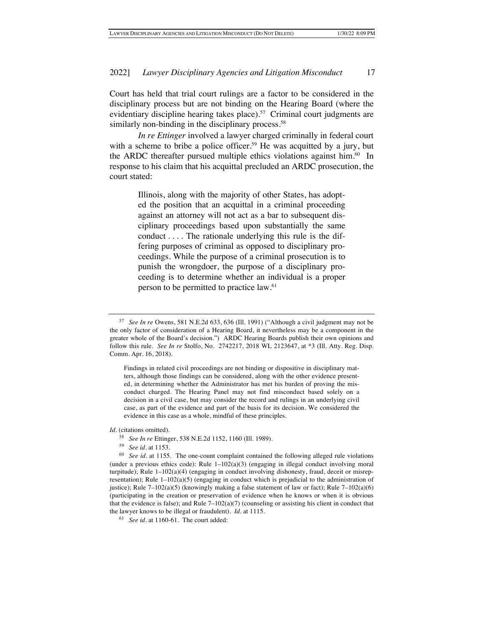Court has held that trial court rulings are a factor to be considered in the disciplinary process but are not binding on the Hearing Board (where the evidentiary discipline hearing takes place).<sup>57</sup> Criminal court judgments are similarly non-binding in the disciplinary process.<sup>58</sup>

*In re Ettinger* involved a lawyer charged criminally in federal court with a scheme to bribe a police officer.<sup>59</sup> He was acquitted by a jury, but the ARDC thereafter pursued multiple ethics violations against him. $60$  In response to his claim that his acquittal precluded an ARDC prosecution, the court stated:

> Illinois, along with the majority of other States, has adopted the position that an acquittal in a criminal proceeding against an attorney will not act as a bar to subsequent disciplinary proceedings based upon substantially the same conduct . . . . The rationale underlying this rule is the differing purposes of criminal as opposed to disciplinary proceedings. While the purpose of a criminal prosecution is to punish the wrongdoer, the purpose of a disciplinary proceeding is to determine whether an individual is a proper person to be permitted to practice law.61

Findings in related civil proceedings are not binding or dispositive in disciplinary matters, although those findings can be considered, along with the other evidence presented, in determining whether the Administrator has met his burden of proving the misconduct charged. The Hearing Panel may not find misconduct based solely on a decision in a civil case, but may consider the record and rulings in an underlying civil case, as part of the evidence and part of the basis for its decision. We considered the evidence in this case as a whole, mindful of these principles.

*Id*. (citations omitted).

<sup>57</sup> *See In re* Owens, 581 N.E.2d 633, 636 (Ill. 1991) ("Although a civil judgment may not be the only factor of consideration of a Hearing Board, it nevertheless may be a component in the greater whole of the Board's decision.") ARDC Hearing Boards publish their own opinions and follow this rule. *See In re* Stolfo, No. 2742217, 2018 WL 2123647, at \*3 (Ill. Atty. Reg. Disp. Comm. Apr. 16, 2018).

<sup>58</sup> *See In re* Ettinger, 538 N.E.2d 1152, 1160 (Ill. 1989).

<sup>59</sup> *See id.* at 1153.

<sup>60</sup> *See id.* at 1155. The one-count complaint contained the following alleged rule violations (under a previous ethics code): Rule  $1-102(a)(3)$  (engaging in illegal conduct involving moral turpitude); Rule 1–102(a)(4) (engaging in conduct involving dishonesty, fraud, deceit or misrepresentation); Rule  $1-102(a)(5)$  (engaging in conduct which is prejudicial to the administration of justice); Rule  $7-102(a)(5)$  (knowingly making a false statement of law or fact); Rule  $7-102(a)(6)$ (participating in the creation or preservation of evidence when he knows or when it is obvious that the evidence is false); and Rule  $7-102(a)(7)$  (counseling or assisting his client in conduct that the lawyer knows to be illegal or fraudulent). *Id*. at 1115.

<sup>61</sup> *See id*. at 1160-61. The court added: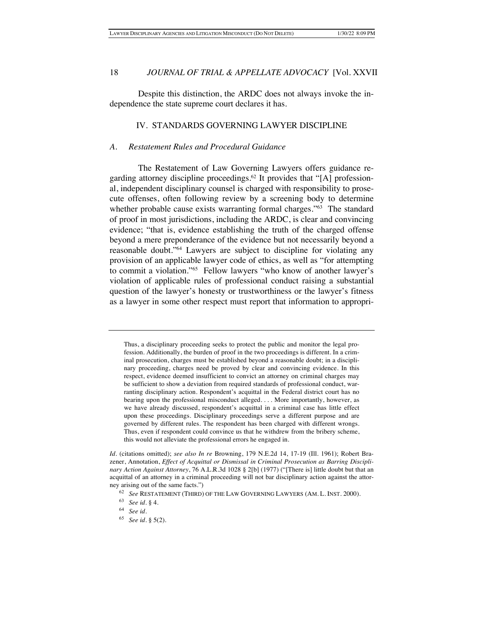Despite this distinction, the ARDC does not always invoke the independence the state supreme court declares it has.

## IV. STANDARDS GOVERNING LAWYER DISCIPLINE

## *A. Restatement Rules and Procedural Guidance*

The Restatement of Law Governing Lawyers offers guidance regarding attorney discipline proceedings.<sup>62</sup> It provides that "[A] professional, independent disciplinary counsel is charged with responsibility to prosecute offenses, often following review by a screening body to determine whether probable cause exists warranting formal charges."<sup>63</sup> The standard of proof in most jurisdictions, including the ARDC, is clear and convincing evidence; "that is, evidence establishing the truth of the charged offense beyond a mere preponderance of the evidence but not necessarily beyond a reasonable doubt."64 Lawyers are subject to discipline for violating any provision of an applicable lawyer code of ethics, as well as "for attempting to commit a violation."65 Fellow lawyers "who know of another lawyer's violation of applicable rules of professional conduct raising a substantial question of the lawyer's honesty or trustworthiness or the lawyer's fitness as a lawyer in some other respect must report that information to appropri-

Thus, a disciplinary proceeding seeks to protect the public and monitor the legal profession. Additionally, the burden of proof in the two proceedings is different. In a criminal prosecution, charges must be established beyond a reasonable doubt; in a disciplinary proceeding, charges need be proved by clear and convincing evidence. In this respect, evidence deemed insufficient to convict an attorney on criminal charges may be sufficient to show a deviation from required standards of professional conduct, warranting disciplinary action. Respondent's acquittal in the Federal district court has no bearing upon the professional misconduct alleged. . . . More importantly, however, as we have already discussed, respondent's acquittal in a criminal case has little effect upon these proceedings. Disciplinary proceedings serve a different purpose and are governed by different rules. The respondent has been charged with different wrongs. Thus, even if respondent could convince us that he withdrew from the bribery scheme, this would not alleviate the professional errors he engaged in.

*Id*. (citations omitted); *see also In re* Browning, 179 N.E.2d 14, 17-19 (Ill. 1961); Robert Brazener, Annotation, *Effect of Acquittal or Dismissal in Criminal Prosecution as Barring Disciplinary Action Against Attorney*, 76 A.L.R.3d 1028 § 2[b] (1977) ("[There is] little doubt but that an acquittal of an attorney in a criminal proceeding will not bar disciplinary action against the attorney arising out of the same facts.")

<sup>62</sup> *See* RESTATEMENT (THIRD) OF THE LAW GOVERNING LAWYERS (AM. L. INST. 2000).

<sup>63</sup> *See id*. § 4.

<sup>64</sup> *See id*.

<sup>65</sup> *See id*. § 5(2).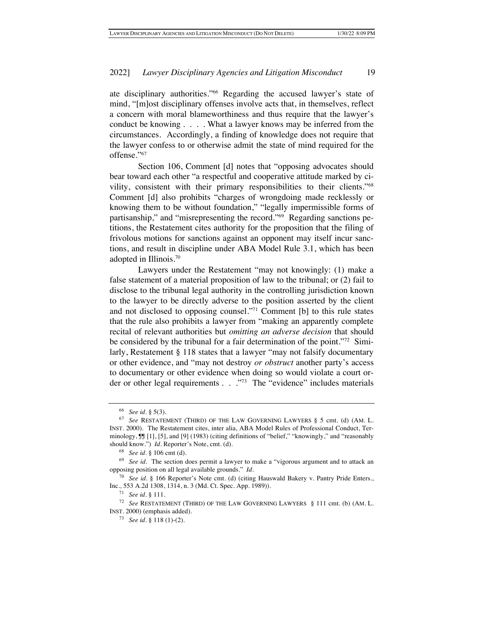ate disciplinary authorities."66 Regarding the accused lawyer's state of mind, "[m]ost disciplinary offenses involve acts that, in themselves, reflect a concern with moral blameworthiness and thus require that the lawyer's conduct be knowing . . . . What a lawyer knows may be inferred from the circumstances. Accordingly, a finding of knowledge does not require that the lawyer confess to or otherwise admit the state of mind required for the offense."67

Section 106, Comment [d] notes that "opposing advocates should bear toward each other "a respectful and cooperative attitude marked by civility, consistent with their primary responsibilities to their clients."68 Comment [d] also prohibits "charges of wrongdoing made recklessly or knowing them to be without foundation," "legally impermissible forms of partisanship," and "misrepresenting the record."69 Regarding sanctions petitions, the Restatement cites authority for the proposition that the filing of frivolous motions for sanctions against an opponent may itself incur sanctions, and result in discipline under ABA Model Rule 3.1, which has been adopted in Illinois.70

Lawyers under the Restatement "may not knowingly: (1) make a false statement of a material proposition of law to the tribunal; or (2) fail to disclose to the tribunal legal authority in the controlling jurisdiction known to the lawyer to be directly adverse to the position asserted by the client and not disclosed to opposing counsel."71 Comment [b] to this rule states that the rule also prohibits a lawyer from "making an apparently complete recital of relevant authorities but *omitting an adverse decision* that should be considered by the tribunal for a fair determination of the point."72 Similarly, Restatement § 118 states that a lawyer "may not falsify documentary or other evidence, and "may not destroy *or obstruct* another party's access to documentary or other evidence when doing so would violate a court order or other legal requirements . . . . . . . . . . The "evidence" includes materials

<sup>66</sup> *See id.* § 5(3).

<sup>67</sup> *See* RESTATEMENT (THIRD) OF THE LAW GOVERNING LAWYERS § 5 cmt. (d) (AM. L. INST. 2000). The Restatement cites, inter alia, ABA Model Rules of Professional Conduct, Terminology,  $\int \int |1|, 5|$ , and  $\lceil 9 \rceil$  (1983) (citing definitions of "belief," "knowingly," and "reasonably should know.") *Id*. Reporter's Note, cmt. (d).

<sup>68</sup> *See id.* § 106 cmt (d).

<sup>69</sup> *See id*. The section does permit a lawyer to make a "vigorous argument and to attack an opposing position on all legal available grounds." *Id*.

<sup>70</sup> *See id*. § 166 Reporter's Note cmt. (d) (citing Hauswald Bakery v. Pantry Pride Enters., Inc*.,* 553 A.2d 1308, 1314, n. 3 (Md. Ct. Spec. App. 1989)).

<sup>71</sup> *See id.* § 111.

<sup>72</sup> *See* RESTATEMENT (THIRD) OF THE LAW GOVERNING LAWYERS § 111 cmt. (b) (AM. L. INST. 2000) (emphasis added).

<sup>73</sup> *See id*. § 118 (1)-(2).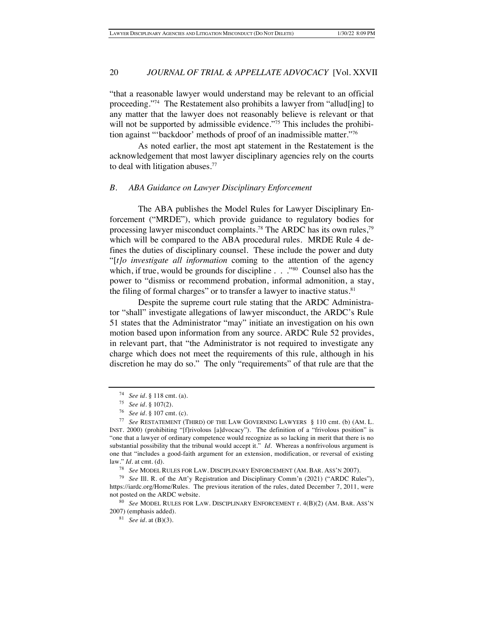"that a reasonable lawyer would understand may be relevant to an official proceeding."<sup>74</sup> The Restatement also prohibits a lawyer from "allud[ing] to any matter that the lawyer does not reasonably believe is relevant or that will not be supported by admissible evidence."<sup>75</sup> This includes the prohibition against "'backdoor' methods of proof of an inadmissible matter."76

As noted earlier, the most apt statement in the Restatement is the acknowledgement that most lawyer disciplinary agencies rely on the courts to deal with litigation abuses.<sup>77</sup>

## *B. ABA Guidance on Lawyer Disciplinary Enforcement*

The ABA publishes the Model Rules for Lawyer Disciplinary Enforcement ("MRDE"), which provide guidance to regulatory bodies for processing lawyer misconduct complaints.78 The ARDC has its own rules,79 which will be compared to the ABA procedural rules. MRDE Rule 4 defines the duties of disciplinary counsel. These include the power and duty "[*t]o investigate all information* coming to the attention of the agency which, if true, would be grounds for discipline . . . .<sup>80</sup> Counsel also has the power to "dismiss or recommend probation, informal admonition, a stay, the filing of formal charges" or to transfer a lawyer to inactive status.<sup>81</sup>

Despite the supreme court rule stating that the ARDC Administrator "shall" investigate allegations of lawyer misconduct, the ARDC's Rule 51 states that the Administrator "may" initiate an investigation on his own motion based upon information from any source. ARDC Rule 52 provides, in relevant part, that "the Administrator is not required to investigate any charge which does not meet the requirements of this rule, although in his discretion he may do so." The only "requirements" of that rule are that the

<sup>80</sup> *See* MODEL RULES FOR LAW. DISCIPLINARY ENFORCEMENT r. 4(B)(2) (AM. BAR. ASS'N 2007) (emphasis added).

<sup>74</sup> *See id.* § 118 cmt. (a).

<sup>75</sup> *See id*. § 107(2).

<sup>76</sup> *See id.* § 107 cmt. (c).

<sup>77</sup> *See* RESTATEMENT (THIRD) OF THE LAW GOVERNING LAWYERS § 110 cmt. (b) (AM. L. INST. 2000) (prohibiting "[f]rivolous [a]dvocacy"). The definition of a "frivolous position" is "one that a lawyer of ordinary competence would recognize as so lacking in merit that there is no substantial possibility that the tribunal would accept it." *Id.* Whereas a nonfrivolous argument is one that "includes a good-faith argument for an extension, modification, or reversal of existing law." *Id*. at cmt. (d).

<sup>78</sup> *See* MODEL RULES FOR LAW. DISCIPLINARY ENFORCEMENT (AM. BAR. ASS'N 2007).

<sup>79</sup> *See* Ill. R. of the Att'y Registration and Disciplinary Comm'n (2021) ("ARDC Rules"), https://iardc.org/Home/Rules. The previous iteration of the rules, dated December 7, 2011, were not posted on the ARDC website.

<sup>81</sup> *See id*. at (B)(3).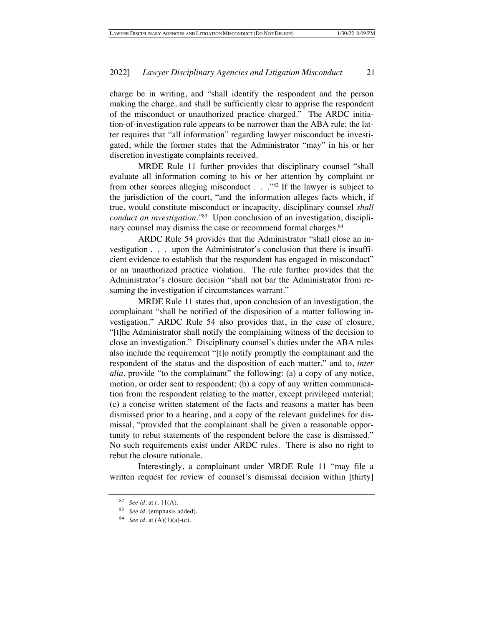charge be in writing, and "shall identify the respondent and the person making the charge, and shall be sufficiently clear to apprise the respondent of the misconduct or unauthorized practice charged." The ARDC initiation-of-investigation rule appears to be narrower than the ABA rule; the latter requires that "all information" regarding lawyer misconduct be investigated, while the former states that the Administrator "may" in his or her discretion investigate complaints received.

MRDE Rule 11 further provides that disciplinary counsel "shall evaluate all information coming to his or her attention by complaint or from other sources alleging misconduct . . ."82 If the lawyer is subject to the jurisdiction of the court, "and the information alleges facts which, if true, would constitute misconduct or incapacity, disciplinary counsel *shall conduct an investigation*."83 Upon conclusion of an investigation, disciplinary counsel may dismiss the case or recommend formal charges.<sup>84</sup>

ARDC Rule 54 provides that the Administrator "shall close an investigation . . . upon the Administrator's conclusion that there is insufficient evidence to establish that the respondent has engaged in misconduct" or an unauthorized practice violation. The rule further provides that the Administrator's closure decision "shall not bar the Administrator from resuming the investigation if circumstances warrant."

MRDE Rule 11 states that, upon conclusion of an investigation, the complainant "shall be notified of the disposition of a matter following investigation." ARDC Rule 54 also provides that, in the case of closure, "[t]he Administrator shall notify the complaining witness of the decision to close an investigation." Disciplinary counsel's duties under the ABA rules also include the requirement "[t]o notify promptly the complainant and the respondent of the status and the disposition of each matter," and to, *inter alia*, provide "to the complainant" the following: (a) a copy of any notice, motion, or order sent to respondent; (b) a copy of any written communication from the respondent relating to the matter, except privileged material; (c) a concise written statement of the facts and reasons a matter has been dismissed prior to a hearing, and a copy of the relevant guidelines for dismissal, "provided that the complainant shall be given a reasonable opportunity to rebut statements of the respondent before the case is dismissed." No such requirements exist under ARDC rules. There is also no right to rebut the closure rationale.

Interestingly, a complainant under MRDE Rule 11 "may file a written request for review of counsel's dismissal decision within [thirty]

<sup>82</sup> *See id*. at r. 11(A).

<sup>83</sup> *See id*. (emphasis added).

<sup>84</sup> *See id*. at (A)(1)(a)-(c).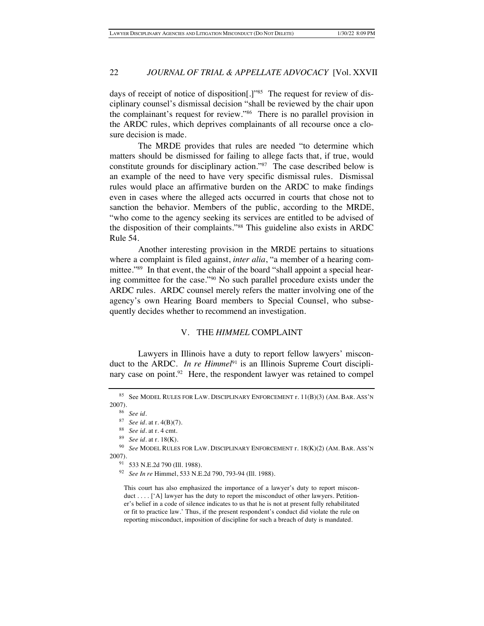days of receipt of notice of disposition[.]"85 The request for review of disciplinary counsel's dismissal decision "shall be reviewed by the chair upon the complainant's request for review."86 There is no parallel provision in the ARDC rules, which deprives complainants of all recourse once a closure decision is made.

The MRDE provides that rules are needed "to determine which matters should be dismissed for failing to allege facts that, if true, would constitute grounds for disciplinary action."87 The case described below is an example of the need to have very specific dismissal rules. Dismissal rules would place an affirmative burden on the ARDC to make findings even in cases where the alleged acts occurred in courts that chose not to sanction the behavior. Members of the public, according to the MRDE, "who come to the agency seeking its services are entitled to be advised of the disposition of their complaints."88 This guideline also exists in ARDC Rule 54.

Another interesting provision in the MRDE pertains to situations where a complaint is filed against, *inter alia*, "a member of a hearing committee."<sup>89</sup> In that event, the chair of the board "shall appoint a special hearing committee for the case."90 No such parallel procedure exists under the ARDC rules. ARDC counsel merely refers the matter involving one of the agency's own Hearing Board members to Special Counsel, who subsequently decides whether to recommend an investigation.

## V. THE *HIMMEL* COMPLAINT

Lawyers in Illinois have a duty to report fellow lawyers' misconduct to the ARDC. *In re Himmel*<sup>91</sup> is an Illinois Supreme Court disciplinary case on point.<sup>92</sup> Here, the respondent lawyer was retained to compel

<sup>85</sup> See MODEL RULES FOR LAW. DISCIPLINARY ENFORCEMENT r. 11(B)(3) (AM. BAR. ASS'N 2007).

<sup>86</sup> *See id*.

<sup>87</sup> *See id*. at r. 4(B)(7).

<sup>88</sup> *See id*. at r. 4 cmt.

<sup>89</sup> *See id*. at r. 18(K).

<sup>90</sup> *See* MODEL RULES FOR LAW. DISCIPLINARY ENFORCEMENT r. 18(K)(2) (AM. BAR. ASS'N 2007).

<sup>91</sup> 533 N.E.2d 790 (Ill. 1988).

<sup>92</sup> *See In re* Himmel, 533 N.E.2d 790, 793-94 (Ill. 1988).

This court has also emphasized the importance of a lawyer's duty to report misconduct . . . . ['A] lawyer has the duty to report the misconduct of other lawyers. Petitioner's belief in a code of silence indicates to us that he is not at present fully rehabilitated or fit to practice law.' Thus, if the present respondent's conduct did violate the rule on reporting misconduct, imposition of discipline for such a breach of duty is mandated.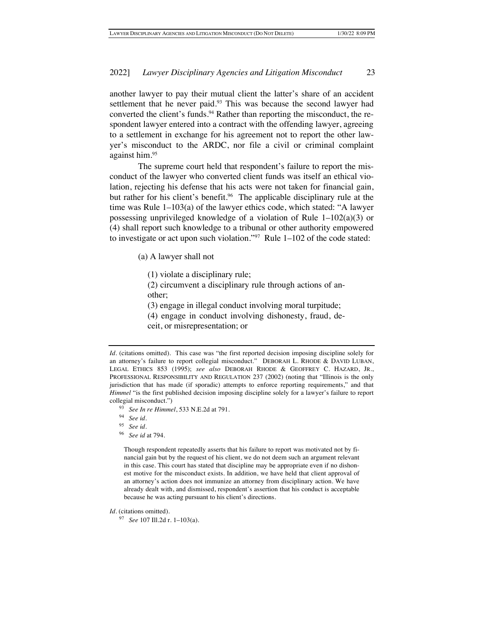another lawyer to pay their mutual client the latter's share of an accident settlement that he never paid.<sup>93</sup> This was because the second lawyer had converted the client's funds.<sup>94</sup> Rather than reporting the misconduct, the respondent lawyer entered into a contract with the offending lawyer, agreeing to a settlement in exchange for his agreement not to report the other lawyer's misconduct to the ARDC, nor file a civil or criminal complaint against him.95

The supreme court held that respondent's failure to report the misconduct of the lawyer who converted client funds was itself an ethical violation, rejecting his defense that his acts were not taken for financial gain, but rather for his client's benefit.<sup>96</sup> The applicable disciplinary rule at the time was Rule 1–103(a) of the lawyer ethics code, which stated: "A lawyer possessing unprivileged knowledge of a violation of Rule 1–102(a)(3) or (4) shall report such knowledge to a tribunal or other authority empowered to investigate or act upon such violation."<sup>97</sup> Rule  $1-102$  of the code stated:

- (a) A lawyer shall not
	- (1) violate a disciplinary rule;

(2) circumvent a disciplinary rule through actions of another;

(3) engage in illegal conduct involving moral turpitude;

- (4) engage in conduct involving dishonesty, fraud, de-
- ceit, or misrepresentation; or

- <sup>93</sup> *See In re Himmel*, 533 N.E.2d at 791.
- <sup>94</sup> *See id*.
- <sup>95</sup> *See id*.
- <sup>96</sup> *See id* at 794.

Though respondent repeatedly asserts that his failure to report was motivated not by financial gain but by the request of his client, we do not deem such an argument relevant in this case. This court has stated that discipline may be appropriate even if no dishonest motive for the misconduct exists. In addition, we have held that client approval of an attorney's action does not immunize an attorney from disciplinary action. We have already dealt with, and dismissed, respondent's assertion that his conduct is acceptable because he was acting pursuant to his client's directions.

*Id*. (citations omitted). This case was "the first reported decision imposing discipline solely for an attorney's failure to report collegial misconduct." DEBORAH L. RHODE & DAVID LUBAN, LEGAL ETHICS 853 (1995); *see also* DEBORAH RHODE & GEOFFREY C. HAZARD, JR., PROFESSIONAL RESPONSIBILITY AND REGULATION 237 (2002) (noting that "Illinois is the only jurisdiction that has made (if sporadic) attempts to enforce reporting requirements," and that *Himmel* "is the first published decision imposing discipline solely for a lawyer's failure to report collegial misconduct.")

*Id*. (citations omitted).

<sup>97</sup> *See* 107 Ill.2d r. 1–103(a).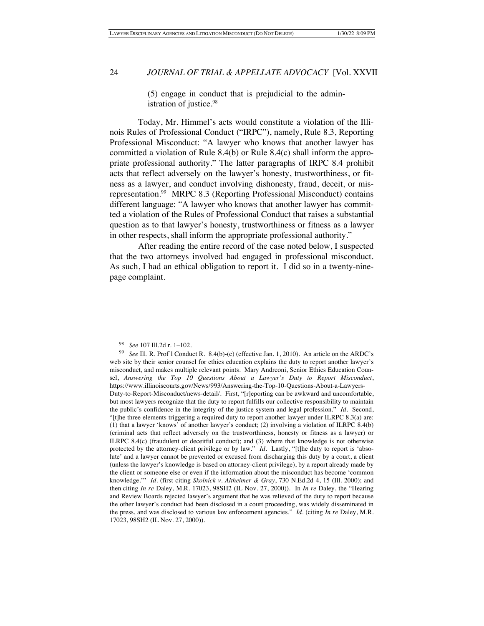(5) engage in conduct that is prejudicial to the administration of justice.<sup>98</sup>

Today, Mr. Himmel's acts would constitute a violation of the Illinois Rules of Professional Conduct ("IRPC"), namely, Rule 8.3, Reporting Professional Misconduct: "A lawyer who knows that another lawyer has committed a violation of Rule 8.4(b) or Rule 8.4(c) shall inform the appropriate professional authority." The latter paragraphs of IRPC 8.4 prohibit acts that reflect adversely on the lawyer's honesty, trustworthiness, or fitness as a lawyer, and conduct involving dishonesty, fraud, deceit, or misrepresentation.99 MRPC 8.3 (Reporting Professional Misconduct) contains different language: "A lawyer who knows that another lawyer has committed a violation of the Rules of Professional Conduct that raises a substantial question as to that lawyer's honesty, trustworthiness or fitness as a lawyer in other respects, shall inform the appropriate professional authority."

After reading the entire record of the case noted below, I suspected that the two attorneys involved had engaged in professional misconduct. As such, I had an ethical obligation to report it. I did so in a twenty-ninepage complaint.

<sup>98</sup> *See* 107 Ill.2d r. 1–102.

<sup>99</sup> *See* Ill. R. Prof'l Conduct R. 8.4(b)-(c) (effective Jan. 1, 2010). An article on the ARDC's web site by their senior counsel for ethics education explains the duty to report another lawyer's misconduct, and makes multiple relevant points. Mary Andreoni, Senior Ethics Education Counsel, *Answering the Top 10 Questions About a Lawyer's Duty to Report Misconduct*, https://www.illinoiscourts.gov/News/993/Answering-the-Top-10-Questions-About-a-Lawyers-Duty-to-Report-Misconduct/news-detail/. First, "[r]eporting can be awkward and uncomfortable, but most lawyers recognize that the duty to report fulfills our collective responsibility to maintain the public's confidence in the integrity of the justice system and legal profession." *Id.* Second, "[t]he three elements triggering a required duty to report another lawyer under ILRPC 8.3(a) are: (1) that a lawyer 'knows' of another lawyer's conduct; (2) involving a violation of ILRPC 8.4(b) (criminal acts that reflect adversely on the trustworthiness, honesty or fitness as a lawyer) or ILRPC 8.4(c) (fraudulent or deceitful conduct); and (3) where that knowledge is not otherwise protected by the attorney-client privilege or by law." *Id.* Lastly, "[t]he duty to report is 'absolute' and a lawyer cannot be prevented or excused from discharging this duty by a court, a client (unless the lawyer's knowledge is based on attorney-client privilege), by a report already made by the client or someone else or even if the information about the misconduct has become 'common knowledge.'" *Id.* (first citing *Skolnick v. Altheimer & Gray*, 730 N.Ed.2d 4, 15 (Ill. 2000); and then citing *In re* Daley, M.R. 17023, 98SH2 (IL Nov. 27, 2000)). In *In re* Daley, the "Hearing and Review Boards rejected lawyer's argument that he was relieved of the duty to report because the other lawyer's conduct had been disclosed in a court proceeding, was widely disseminated in the press, and was disclosed to various law enforcement agencies." *Id.* (citing *In re* Daley, M.R. 17023, 98SH2 (IL Nov. 27, 2000)).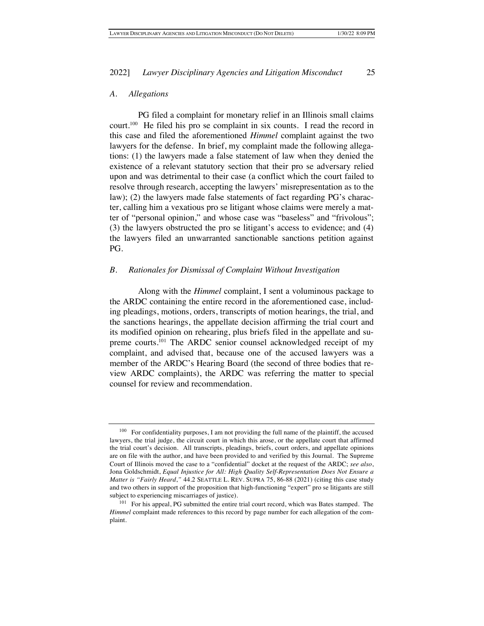#### *A. Allegations*

PG filed a complaint for monetary relief in an Illinois small claims court.100 He filed his pro se complaint in six counts. I read the record in this case and filed the aforementioned *Himmel* complaint against the two lawyers for the defense. In brief, my complaint made the following allegations: (1) the lawyers made a false statement of law when they denied the existence of a relevant statutory section that their pro se adversary relied upon and was detrimental to their case (a conflict which the court failed to resolve through research, accepting the lawyers' misrepresentation as to the law); (2) the lawyers made false statements of fact regarding PG's character, calling him a vexatious pro se litigant whose claims were merely a matter of "personal opinion," and whose case was "baseless" and "frivolous"; (3) the lawyers obstructed the pro se litigant's access to evidence; and (4) the lawyers filed an unwarranted sanctionable sanctions petition against PG.

## *B. Rationales for Dismissal of Complaint Without Investigation*

Along with the *Himmel* complaint, I sent a voluminous package to the ARDC containing the entire record in the aforementioned case, including pleadings, motions, orders, transcripts of motion hearings, the trial, and the sanctions hearings, the appellate decision affirming the trial court and its modified opinion on rehearing, plus briefs filed in the appellate and supreme courts.<sup>101</sup> The ARDC senior counsel acknowledged receipt of my complaint, and advised that, because one of the accused lawyers was a member of the ARDC's Hearing Board (the second of three bodies that review ARDC complaints), the ARDC was referring the matter to special counsel for review and recommendation.

 $100$  For confidentiality purposes, I am not providing the full name of the plaintiff, the accused lawyers, the trial judge, the circuit court in which this arose, or the appellate court that affirmed the trial court's decision. All transcripts, pleadings, briefs, court orders, and appellate opinions are on file with the author, and have been provided to and verified by this Journal. The Supreme Court of Illinois moved the case to a "confidential" docket at the request of the ARDC; *see also*, Jona Goldschmidt, *Equal Injustice for All: High Quality Self-Representation Does Not Ensure a Matter is "Fairly Heard*,*"* 44.2 SEATTLE L. REV. SUPRA 75, 86-88 (2021) (citing this case study and two others in support of the proposition that high-functioning "expert" pro se litigants are still subject to experiencing miscarriages of justice).

<sup>&</sup>lt;sup>101</sup> For his appeal, PG submitted the entire trial court record, which was Bates stamped. The *Himmel* complaint made references to this record by page number for each allegation of the complaint.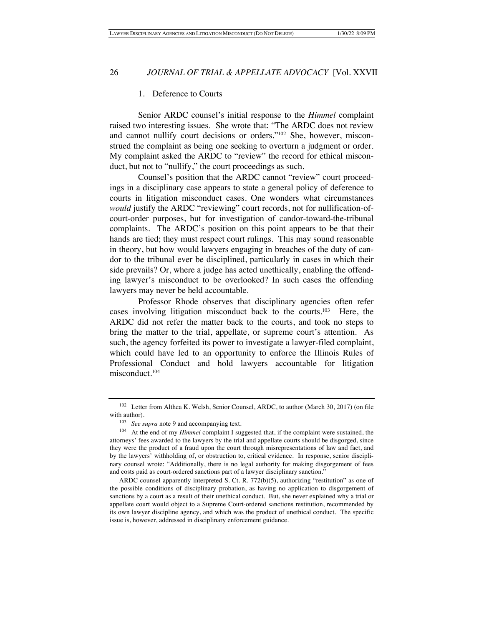#### 1. Deference to Courts

Senior ARDC counsel's initial response to the *Himmel* complaint raised two interesting issues. She wrote that: "The ARDC does not review and cannot nullify court decisions or orders."102 She, however, misconstrued the complaint as being one seeking to overturn a judgment or order. My complaint asked the ARDC to "review" the record for ethical misconduct, but not to "nullify," the court proceedings as such.

Counsel's position that the ARDC cannot "review" court proceedings in a disciplinary case appears to state a general policy of deference to courts in litigation misconduct cases. One wonders what circumstances *would* justify the ARDC "reviewing" court records, not for nullification-ofcourt-order purposes, but for investigation of candor-toward-the-tribunal complaints. The ARDC's position on this point appears to be that their hands are tied; they must respect court rulings. This may sound reasonable in theory, but how would lawyers engaging in breaches of the duty of candor to the tribunal ever be disciplined, particularly in cases in which their side prevails? Or, where a judge has acted unethically, enabling the offending lawyer's misconduct to be overlooked? In such cases the offending lawyers may never be held accountable.

Professor Rhode observes that disciplinary agencies often refer cases involving litigation misconduct back to the courts.103 Here, the ARDC did not refer the matter back to the courts, and took no steps to bring the matter to the trial, appellate, or supreme court's attention. As such, the agency forfeited its power to investigate a lawyer-filed complaint, which could have led to an opportunity to enforce the Illinois Rules of Professional Conduct and hold lawyers accountable for litigation misconduct. 104

<sup>&</sup>lt;sup>102</sup> Letter from Althea K. Welsh, Senior Counsel, ARDC, to author (March 30, 2017) (on file with author).

<sup>103</sup> *See supra* note 9 and accompanying text.

<sup>104</sup> At the end of my *Himmel* complaint I suggested that, if the complaint were sustained, the attorneys' fees awarded to the lawyers by the trial and appellate courts should be disgorged, since they were the product of a fraud upon the court through misrepresentations of law and fact, and by the lawyers' withholding of, or obstruction to, critical evidence. In response, senior disciplinary counsel wrote: "Additionally, there is no legal authority for making disgorgement of fees and costs paid as court-ordered sanctions part of a lawyer disciplinary sanction."

ARDC counsel apparently interpreted S. Ct. R. 772(b)(5), authorizing "restitution" as one of the possible conditions of disciplinary probation, as having no application to disgorgement of sanctions by a court as a result of their unethical conduct. But, she never explained why a trial or appellate court would object to a Supreme Court-ordered sanctions restitution, recommended by its own lawyer discipline agency, and which was the product of unethical conduct. The specific issue is, however, addressed in disciplinary enforcement guidance.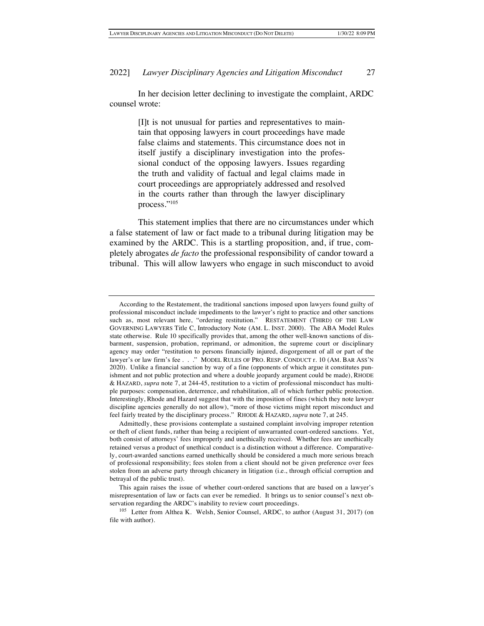In her decision letter declining to investigate the complaint, ARDC counsel wrote:

> [I]t is not unusual for parties and representatives to maintain that opposing lawyers in court proceedings have made false claims and statements. This circumstance does not in itself justify a disciplinary investigation into the professional conduct of the opposing lawyers. Issues regarding the truth and validity of factual and legal claims made in court proceedings are appropriately addressed and resolved in the courts rather than through the lawyer disciplinary process."105

This statement implies that there are no circumstances under which a false statement of law or fact made to a tribunal during litigation may be examined by the ARDC. This is a startling proposition, and, if true, completely abrogates *de facto* the professional responsibility of candor toward a tribunal. This will allow lawyers who engage in such misconduct to avoid

According to the Restatement, the traditional sanctions imposed upon lawyers found guilty of professional misconduct include impediments to the lawyer's right to practice and other sanctions such as, most relevant here, "ordering restitution." RESTATEMENT (THIRD) OF THE LAW GOVERNING LAWYERS Title C, Introductory Note (AM. L. INST. 2000). The ABA Model Rules state otherwise. Rule 10 specifically provides that, among the other well-known sanctions of disbarment, suspension, probation, reprimand, or admonition, the supreme court or disciplinary agency may order "restitution to persons financially injured, disgorgement of all or part of the lawyer's or law firm's fee . . ." MODEL RULES OF PRO. RESP. CONDUCT r. 10 (AM. BAR ASS'N 2020). Unlike a financial sanction by way of a fine (opponents of which argue it constitutes punishment and not public protection and where a double jeopardy argument could be made), RHODE & HAZARD, *supra* note 7, at 244-45, restitution to a victim of professional misconduct has multiple purposes: compensation, deterrence, and rehabilitation, all of which further public protection. Interestingly, Rhode and Hazard suggest that with the imposition of fines (which they note lawyer discipline agencies generally do not allow), "more of those victims might report misconduct and feel fairly treated by the disciplinary process." RHODE & HAZARD, *supra* note 7, at 245.

Admittedly, these provisions contemplate a sustained complaint involving improper retention or theft of client funds, rather than being a recipient of unwarranted court-ordered sanctions. Yet, both consist of attorneys' fees improperly and unethically received. Whether fees are unethically retained versus a product of unethical conduct is a distinction without a difference. Comparatively, court-awarded sanctions earned unethically should be considered a much more serious breach of professional responsibility; fees stolen from a client should not be given preference over fees stolen from an adverse party through chicanery in litigation (i.e., through official corruption and betrayal of the public trust).

This again raises the issue of whether court-ordered sanctions that are based on a lawyer's misrepresentation of law or facts can ever be remedied. It brings us to senior counsel's next observation regarding the ARDC's inability to review court proceedings.

<sup>105</sup> Letter from Althea K. Welsh, Senior Counsel, ARDC, to author (August 31, 2017) (on file with author).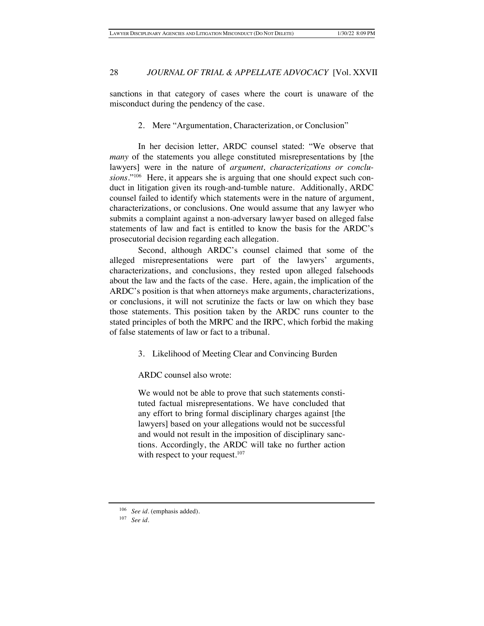sanctions in that category of cases where the court is unaware of the misconduct during the pendency of the case.

## 2. Mere "Argumentation, Characterization, or Conclusion"

In her decision letter, ARDC counsel stated: "We observe that *many* of the statements you allege constituted misrepresentations by [the lawyers] were in the nature of *argument, characterizations or conclusions*."106 Here, it appears she is arguing that one should expect such conduct in litigation given its rough-and-tumble nature. Additionally, ARDC counsel failed to identify which statements were in the nature of argument, characterizations, or conclusions. One would assume that any lawyer who submits a complaint against a non-adversary lawyer based on alleged false statements of law and fact is entitled to know the basis for the ARDC's prosecutorial decision regarding each allegation.

Second, although ARDC's counsel claimed that some of the alleged misrepresentations were part of the lawyers' arguments, characterizations, and conclusions, they rested upon alleged falsehoods about the law and the facts of the case. Here, again, the implication of the ARDC's position is that when attorneys make arguments, characterizations, or conclusions, it will not scrutinize the facts or law on which they base those statements. This position taken by the ARDC runs counter to the stated principles of both the MRPC and the IRPC, which forbid the making of false statements of law or fact to a tribunal.

3. Likelihood of Meeting Clear and Convincing Burden

ARDC counsel also wrote:

We would not be able to prove that such statements constituted factual misrepresentations. We have concluded that any effort to bring formal disciplinary charges against [the lawyers] based on your allegations would not be successful and would not result in the imposition of disciplinary sanctions. Accordingly, the ARDC will take no further action with respect to your request. $107$ 

<sup>&</sup>lt;sup>106</sup> *See id.* (emphasis added).

<sup>107</sup> *See id*.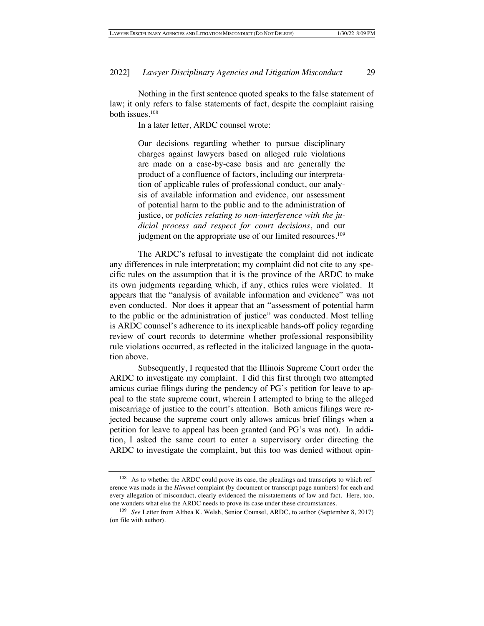Nothing in the first sentence quoted speaks to the false statement of law; it only refers to false statements of fact, despite the complaint raising both issues.108

In a later letter, ARDC counsel wrote:

Our decisions regarding whether to pursue disciplinary charges against lawyers based on alleged rule violations are made on a case-by-case basis and are generally the product of a confluence of factors, including our interpretation of applicable rules of professional conduct, our analysis of available information and evidence, our assessment of potential harm to the public and to the administration of justice, or *policies relating to non-interference with the judicial process and respect for court decisions*, and our judgment on the appropriate use of our limited resources.<sup>109</sup>

The ARDC's refusal to investigate the complaint did not indicate any differences in rule interpretation; my complaint did not cite to any specific rules on the assumption that it is the province of the ARDC to make its own judgments regarding which, if any, ethics rules were violated. It appears that the "analysis of available information and evidence" was not even conducted. Nor does it appear that an "assessment of potential harm to the public or the administration of justice" was conducted. Most telling is ARDC counsel's adherence to its inexplicable hands-off policy regarding review of court records to determine whether professional responsibility rule violations occurred, as reflected in the italicized language in the quotation above.

Subsequently, I requested that the Illinois Supreme Court order the ARDC to investigate my complaint. I did this first through two attempted amicus curiae filings during the pendency of PG's petition for leave to appeal to the state supreme court, wherein I attempted to bring to the alleged miscarriage of justice to the court's attention. Both amicus filings were rejected because the supreme court only allows amicus brief filings when a petition for leave to appeal has been granted (and PG's was not). In addition, I asked the same court to enter a supervisory order directing the ARDC to investigate the complaint, but this too was denied without opin-

<sup>&</sup>lt;sup>108</sup> As to whether the ARDC could prove its case, the pleadings and transcripts to which reference was made in the *Himmel* complaint (by document or transcript page numbers) for each and every allegation of misconduct, clearly evidenced the misstatements of law and fact. Here, too, one wonders what else the ARDC needs to prove its case under these circumstances.

<sup>109</sup> *See* Letter from Althea K. Welsh, Senior Counsel, ARDC, to author (September 8, 2017) (on file with author).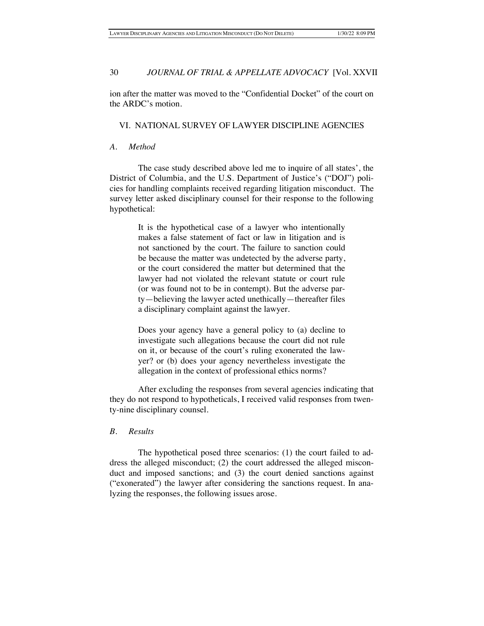ion after the matter was moved to the "Confidential Docket" of the court on the ARDC's motion.

## VI. NATIONAL SURVEY OF LAWYER DISCIPLINE AGENCIES

## *A. Method*

The case study described above led me to inquire of all states', the District of Columbia, and the U.S. Department of Justice's ("DOJ") policies for handling complaints received regarding litigation misconduct. The survey letter asked disciplinary counsel for their response to the following hypothetical:

> It is the hypothetical case of a lawyer who intentionally makes a false statement of fact or law in litigation and is not sanctioned by the court. The failure to sanction could be because the matter was undetected by the adverse party, or the court considered the matter but determined that the lawyer had not violated the relevant statute or court rule (or was found not to be in contempt). But the adverse party—believing the lawyer acted unethically—thereafter files a disciplinary complaint against the lawyer.

> Does your agency have a general policy to (a) decline to investigate such allegations because the court did not rule on it, or because of the court's ruling exonerated the lawyer? or (b) does your agency nevertheless investigate the allegation in the context of professional ethics norms?

After excluding the responses from several agencies indicating that they do not respond to hypotheticals, I received valid responses from twenty-nine disciplinary counsel.

## *B. Results*

The hypothetical posed three scenarios: (1) the court failed to address the alleged misconduct; (2) the court addressed the alleged misconduct and imposed sanctions; and (3) the court denied sanctions against ("exonerated") the lawyer after considering the sanctions request. In analyzing the responses, the following issues arose.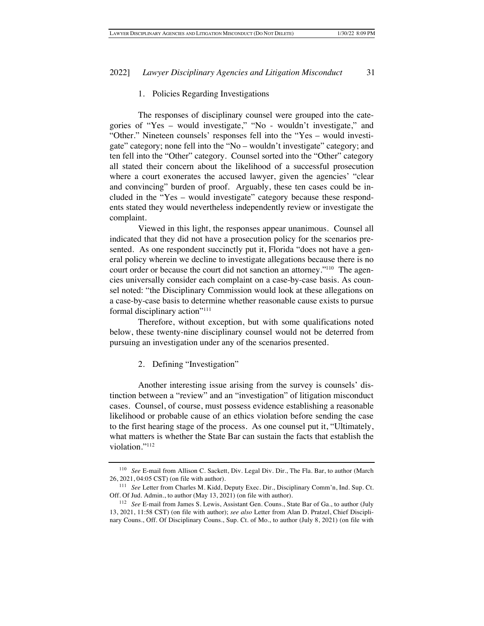#### 1. Policies Regarding Investigations

The responses of disciplinary counsel were grouped into the categories of "Yes – would investigate," "No - wouldn't investigate," and "Other." Nineteen counsels' responses fell into the "Yes – would investigate" category; none fell into the "No – wouldn't investigate" category; and ten fell into the "Other" category. Counsel sorted into the "Other" category all stated their concern about the likelihood of a successful prosecution where a court exonerates the accused lawyer, given the agencies' "clear and convincing" burden of proof. Arguably, these ten cases could be included in the "Yes – would investigate" category because these respondents stated they would nevertheless independently review or investigate the complaint.

Viewed in this light, the responses appear unanimous. Counsel all indicated that they did not have a prosecution policy for the scenarios presented. As one respondent succinctly put it, Florida "does not have a general policy wherein we decline to investigate allegations because there is no court order or because the court did not sanction an attorney."<sup>110</sup> The agencies universally consider each complaint on a case-by-case basis. As counsel noted: "the Disciplinary Commission would look at these allegations on a case-by-case basis to determine whether reasonable cause exists to pursue formal disciplinary action"111

Therefore, without exception, but with some qualifications noted below, these twenty-nine disciplinary counsel would not be deterred from pursuing an investigation under any of the scenarios presented.

2. Defining "Investigation"

Another interesting issue arising from the survey is counsels' distinction between a "review" and an "investigation" of litigation misconduct cases. Counsel, of course, must possess evidence establishing a reasonable likelihood or probable cause of an ethics violation before sending the case to the first hearing stage of the process. As one counsel put it, "Ultimately, what matters is whether the State Bar can sustain the facts that establish the violation."112

<sup>110</sup> *See* E-mail from Allison C. Sackett, Div. Legal Div. Dir., The Fla. Bar, to author (March 26, 2021, 04:05 CST) (on file with author).

<sup>111</sup> *See* Letter from Charles M. Kidd, Deputy Exec. Dir., Disciplinary Comm'n, Ind. Sup. Ct. Off. Of Jud. Admin., to author (May 13, 2021) (on file with author).

<sup>112</sup> *See* E-mail from James S. Lewis, Assistant Gen. Couns., State Bar of Ga., to author (July 13, 2021, 11:58 CST) (on file with author); *see also* Letter from Alan D. Pratzel, Chief Disciplinary Couns., Off. Of Disciplinary Couns., Sup. Ct. of Mo., to author (July 8, 2021) (on file with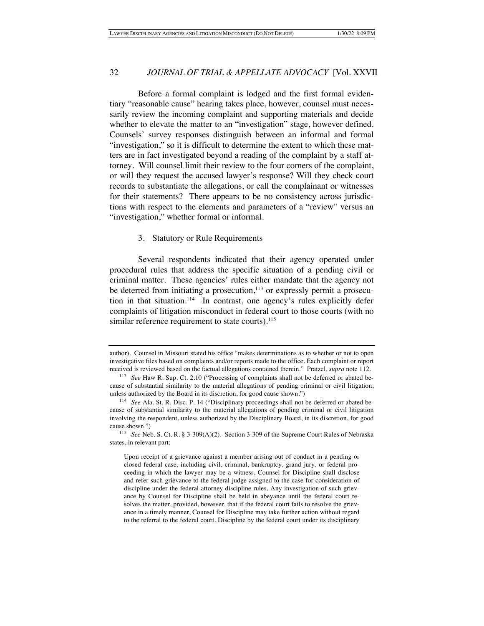Before a formal complaint is lodged and the first formal evidentiary "reasonable cause" hearing takes place, however, counsel must necessarily review the incoming complaint and supporting materials and decide whether to elevate the matter to an "investigation" stage, however defined. Counsels' survey responses distinguish between an informal and formal "investigation," so it is difficult to determine the extent to which these matters are in fact investigated beyond a reading of the complaint by a staff attorney. Will counsel limit their review to the four corners of the complaint, or will they request the accused lawyer's response? Will they check court records to substantiate the allegations, or call the complainant or witnesses for their statements? There appears to be no consistency across jurisdictions with respect to the elements and parameters of a "review" versus an "investigation," whether formal or informal.

## 3. Statutory or Rule Requirements

Several respondents indicated that their agency operated under procedural rules that address the specific situation of a pending civil or criminal matter. These agencies' rules either mandate that the agency not be deterred from initiating a prosecution, $113$  or expressly permit a prosecution in that situation.<sup>114</sup> In contrast, one agency's rules explicitly defer complaints of litigation misconduct in federal court to those courts (with no similar reference requirement to state courts).<sup>115</sup>

author). Counsel in Missouri stated his office "makes determinations as to whether or not to open investigative files based on complaints and/or reports made to the office. Each complaint or report received is reviewed based on the factual allegations contained therein." Pratzel, *supra* note 112.

<sup>&</sup>lt;sup>113</sup> *See* Haw R. Sup. Ct. 2.10 ("Processing of complaints shall not be deferred or abated because of substantial similarity to the material allegations of pending criminal or civil litigation, unless authorized by the Board in its discretion, for good cause shown.")

<sup>114</sup> *See* Ala. St. R. Disc. P. 14 ("Disciplinary proceedings shall not be deferred or abated because of substantial similarity to the material allegations of pending criminal or civil litigation involving the respondent, unless authorized by the Disciplinary Board, in its discretion, for good cause shown.")

<sup>115</sup> *See* Neb. S. Ct. R. § 3-309(A)(2). Section 3-309 of the Supreme Court Rules of Nebraska states, in relevant part:

Upon receipt of a grievance against a member arising out of conduct in a pending or closed federal case, including civil, criminal, bankruptcy, grand jury, or federal proceeding in which the lawyer may be a witness, Counsel for Discipline shall disclose and refer such grievance to the federal judge assigned to the case for consideration of discipline under the federal attorney discipline rules. Any investigation of such grievance by Counsel for Discipline shall be held in abeyance until the federal court resolves the matter, provided, however, that if the federal court fails to resolve the grievance in a timely manner, Counsel for Discipline may take further action without regard to the referral to the federal court. Discipline by the federal court under its disciplinary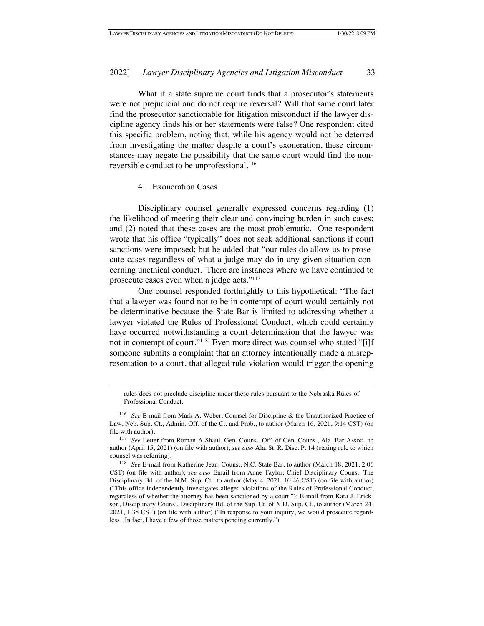What if a state supreme court finds that a prosecutor's statements were not prejudicial and do not require reversal? Will that same court later find the prosecutor sanctionable for litigation misconduct if the lawyer discipline agency finds his or her statements were false? One respondent cited this specific problem, noting that, while his agency would not be deterred from investigating the matter despite a court's exoneration, these circumstances may negate the possibility that the same court would find the nonreversible conduct to be unprofessional.<sup>116</sup>

## 4. Exoneration Cases

Disciplinary counsel generally expressed concerns regarding (1) the likelihood of meeting their clear and convincing burden in such cases; and (2) noted that these cases are the most problematic. One respondent wrote that his office "typically" does not seek additional sanctions if court sanctions were imposed; but he added that "our rules do allow us to prosecute cases regardless of what a judge may do in any given situation concerning unethical conduct. There are instances where we have continued to prosecute cases even when a judge acts."117

One counsel responded forthrightly to this hypothetical: "The fact that a lawyer was found not to be in contempt of court would certainly not be determinative because the State Bar is limited to addressing whether a lawyer violated the Rules of Professional Conduct, which could certainly have occurred notwithstanding a court determination that the lawyer was not in contempt of court."118 Even more direct was counsel who stated "[i]f someone submits a complaint that an attorney intentionally made a misrepresentation to a court, that alleged rule violation would trigger the opening

rules does not preclude discipline under these rules pursuant to the Nebraska Rules of Professional Conduct.

<sup>116</sup> *See* E-mail from Mark A. Weber, Counsel for Discipline & the Unauthorized Practice of Law, Neb. Sup. Ct., Admin. Off. of the Ct. and Prob., to author (March 16, 2021, 9:14 CST) (on file with author).

<sup>117</sup> *See* Letter from Roman A Shaul, Gen. Couns., Off. of Gen. Couns., Ala. Bar Assoc., to author (April 15, 2021) (on file with author); *see also* Ala. St. R. Disc. P. 14 (stating rule to which counsel was referring).

<sup>118</sup> *See* E-mail from Katherine Jean, Couns., N.C. State Bar, to author (March 18, 2021, 2:06 CST) (on file with author); *see also* Email from Anne Taylor, Chief Disciplinary Couns., The Disciplinary Bd. of the N.M. Sup. Ct., to author (May 4, 2021, 10:46 CST) (on file with author) ("This office independently investigates alleged violations of the Rules of Professional Conduct, regardless of whether the attorney has been sanctioned by a court."); E-mail from Kara J. Erickson, Disciplinary Couns., Disciplinary Bd. of the Sup. Ct. of N.D. Sup. Ct., to author (March 24- 2021, 1:38 CST) (on file with author) ("In response to your inquiry, we would prosecute regardless. In fact, I have a few of those matters pending currently.")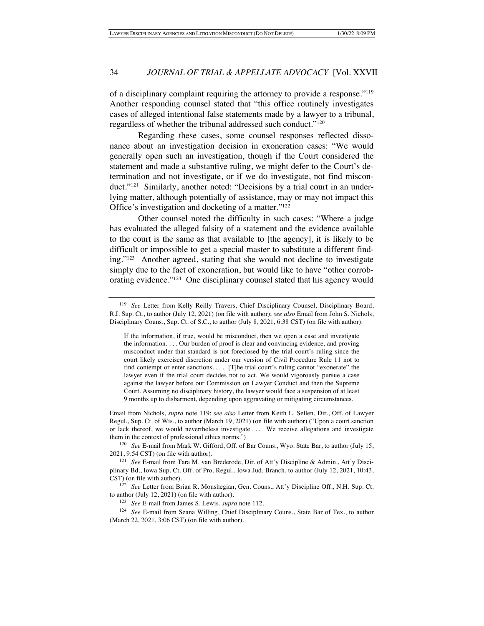of a disciplinary complaint requiring the attorney to provide a response."119 Another responding counsel stated that "this office routinely investigates cases of alleged intentional false statements made by a lawyer to a tribunal, regardless of whether the tribunal addressed such conduct."120

Regarding these cases, some counsel responses reflected dissonance about an investigation decision in exoneration cases: "We would generally open such an investigation, though if the Court considered the statement and made a substantive ruling, we might defer to the Court's determination and not investigate, or if we do investigate, not find misconduct."<sup>121</sup> Similarly, another noted: "Decisions by a trial court in an underlying matter, although potentially of assistance, may or may not impact this Office's investigation and docketing of a matter."122

Other counsel noted the difficulty in such cases: "Where a judge has evaluated the alleged falsity of a statement and the evidence available to the court is the same as that available to [the agency], it is likely to be difficult or impossible to get a special master to substitute a different finding."123 Another agreed, stating that she would not decline to investigate simply due to the fact of exoneration, but would like to have "other corroborating evidence."124 One disciplinary counsel stated that his agency would

Email from Nichols, *supra* note 119; *see also* Letter from Keith L. Sellen, Dir., Off. of Lawyer Regul., Sup. Ct. of Wis., to author (March 19, 2021) (on file with author) ("Upon a court sanction or lack thereof, we would nevertheless investigate . . . . We receive allegations and investigate them in the context of professional ethics norms.")

<sup>120</sup> *See* E-mail from Mark W. Gifford, Off. of Bar Couns., Wyo. State Bar, to author (July 15, 2021, 9:54 CST) (on file with author).

<sup>121</sup> *See* E-mail from Tara M. van Brederode, Dir. of Att'y Discipline & Admin., Att'y Disciplinary Bd., Iowa Sup. Ct. Off. of Pro. Regul., Iowa Jud. Branch, to author (July 12, 2021, 10:43, CST) (on file with author).

<sup>122</sup> See Letter from Brian R. Moushegian, Gen. Couns., Att'y Discipline Off., N.H. Sup. Ct. to author (July 12, 2021) (on file with author).

<sup>123</sup> *See* E-mail from James S. Lewis, *supra* note 112.

<sup>124</sup> *See* E-mail from Seana Willing, Chief Disciplinary Couns., State Bar of Tex., to author (March 22, 2021, 3:06 CST) (on file with author).

<sup>119</sup> *See* Letter from Kelly Reilly Travers, Chief Disciplinary Counsel, Disciplinary Board, R.I. Sup. Ct., to author (July 12, 2021) (on file with author); *see also* Email from John S. Nichols, Disciplinary Couns., Sup. Ct. of S.C., to author (July 8, 2021, 6:38 CST) (on file with author):

If the information, if true, would be misconduct, then we open a case and investigate the information. . . . Our burden of proof is clear and convincing evidence, and proving misconduct under that standard is not foreclosed by the trial court's ruling since the court likely exercised discretion under our version of Civil Procedure Rule 11 not to find contempt or enter sanctions. . . . [T]he trial court's ruling cannot "exonerate" the lawyer even if the trial court decides not to act. We would vigorously pursue a case against the lawyer before our Commission on Lawyer Conduct and then the Supreme Court. Assuming no disciplinary history, the lawyer would face a suspension of at least 9 months up to disbarment, depending upon aggravating or mitigating circumstances.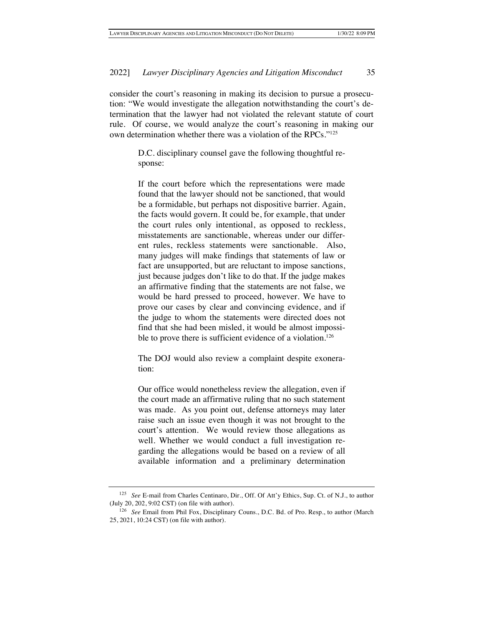consider the court's reasoning in making its decision to pursue a prosecution: "We would investigate the allegation notwithstanding the court's determination that the lawyer had not violated the relevant statute of court rule. Of course, we would analyze the court's reasoning in making our own determination whether there was a violation of the RPCs."125

> D.C. disciplinary counsel gave the following thoughtful response:

> If the court before which the representations were made found that the lawyer should not be sanctioned, that would be a formidable, but perhaps not dispositive barrier. Again, the facts would govern. It could be, for example, that under the court rules only intentional, as opposed to reckless, misstatements are sanctionable, whereas under our different rules, reckless statements were sanctionable. Also, many judges will make findings that statements of law or fact are unsupported, but are reluctant to impose sanctions, just because judges don't like to do that. If the judge makes an affirmative finding that the statements are not false, we would be hard pressed to proceed, however. We have to prove our cases by clear and convincing evidence, and if the judge to whom the statements were directed does not find that she had been misled, it would be almost impossible to prove there is sufficient evidence of a violation.<sup>126</sup>

> The DOJ would also review a complaint despite exoneration:

> Our office would nonetheless review the allegation, even if the court made an affirmative ruling that no such statement was made. As you point out, defense attorneys may later raise such an issue even though it was not brought to the court's attention. We would review those allegations as well. Whether we would conduct a full investigation regarding the allegations would be based on a review of all available information and a preliminary determination

<sup>125</sup> *See* E-mail from Charles Centinaro, Dir., Off. Of Att'y Ethics, Sup. Ct. of N.J., to author (July 20, 202, 9:02 CST) (on file with author).

<sup>126</sup> *See* Email from Phil Fox, Disciplinary Couns., D.C. Bd. of Pro. Resp., to author (March 25, 2021, 10:24 CST) (on file with author).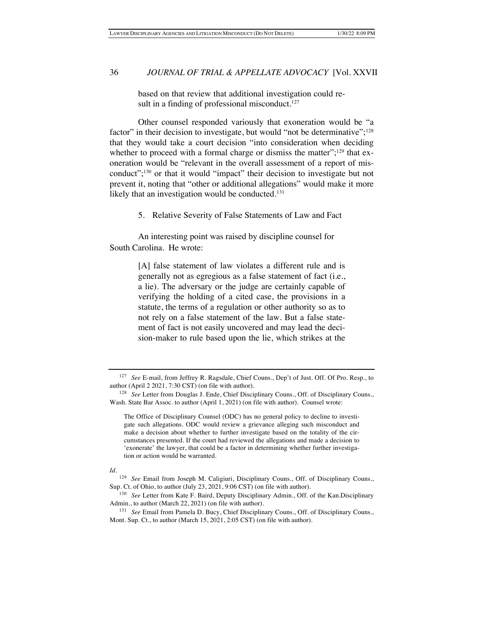based on that review that additional investigation could result in a finding of professional misconduct. $127$ 

Other counsel responded variously that exoneration would be "a factor" in their decision to investigate, but would "not be determinative";<sup>128</sup> that they would take a court decision "into consideration when deciding whether to proceed with a formal charge or dismiss the matter"; $129$  that exoneration would be "relevant in the overall assessment of a report of misconduct";130 or that it would "impact" their decision to investigate but not prevent it, noting that "other or additional allegations" would make it more likely that an investigation would be conducted.<sup>131</sup>

5. Relative Severity of False Statements of Law and Fact

An interesting point was raised by discipline counsel for South Carolina. He wrote:

> [A] false statement of law violates a different rule and is generally not as egregious as a false statement of fact (i.e., a lie). The adversary or the judge are certainly capable of verifying the holding of a cited case, the provisions in a statute, the terms of a regulation or other authority so as to not rely on a false statement of the law. But a false statement of fact is not easily uncovered and may lead the decision-maker to rule based upon the lie, which strikes at the

*Id*.

<sup>127</sup> *See* E-mail, from Jeffrey R. Ragsdale, Chief Couns., Dep't of Just. Off. Of Pro. Resp., to author (April 2 2021, 7:30 CST) (on file with author).

<sup>128</sup> *See* Letter from Douglas J. Ende, Chief Disciplinary Couns., Off. of Disciplinary Couns., Wash. State Bar Assoc. to author (April 1, 2021) (on file with author). Counsel wrote:

The Office of Disciplinary Counsel (ODC) has no general policy to decline to investigate such allegations. ODC would review a grievance alleging such misconduct and make a decision about whether to further investigate based on the totality of the circumstances presented. If the court had reviewed the allegations and made a decision to 'exonerate' the lawyer, that could be a factor in determining whether further investigation or action would be warranted.

<sup>129</sup> *See* Email from Joseph M. Caligiuri, Disciplinary Couns., Off. of Disciplinary Couns., Sup. Ct. of Ohio, to author (July 23, 2021, 9:06 CST) (on file with author).

<sup>130</sup> *See* Letter from Kate F. Baird, Deputy Disciplinary Admin., Off. of the Kan.Disciplinary Admin., to author (March 22, 2021) (on file with author).

<sup>131</sup> *See* Email from Pamela D. Bucy, Chief Disciplinary Couns., Off. of Disciplinary Couns., Mont. Sup. Ct., to author (March 15, 2021, 2:05 CST) (on file with author).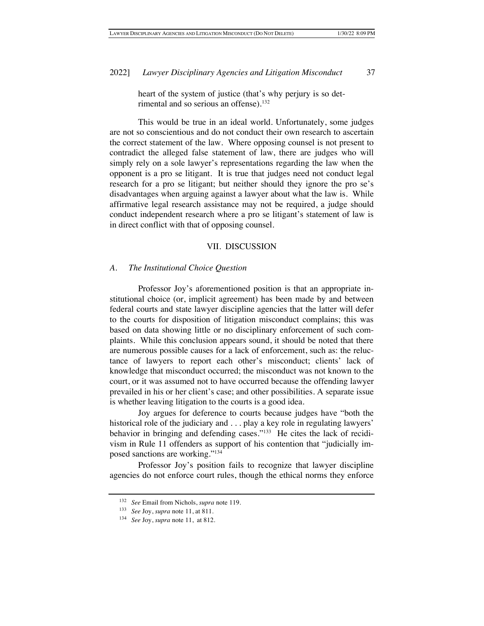heart of the system of justice (that's why perjury is so detrimental and so serious an offense).<sup>132</sup>

This would be true in an ideal world. Unfortunately, some judges are not so conscientious and do not conduct their own research to ascertain the correct statement of the law. Where opposing counsel is not present to contradict the alleged false statement of law, there are judges who will simply rely on a sole lawyer's representations regarding the law when the opponent is a pro se litigant. It is true that judges need not conduct legal research for a pro se litigant; but neither should they ignore the pro se's disadvantages when arguing against a lawyer about what the law is. While affirmative legal research assistance may not be required, a judge should conduct independent research where a pro se litigant's statement of law is in direct conflict with that of opposing counsel.

#### VII. DISCUSSION

#### *A. The Institutional Choice Question*

Professor Joy's aforementioned position is that an appropriate institutional choice (or, implicit agreement) has been made by and between federal courts and state lawyer discipline agencies that the latter will defer to the courts for disposition of litigation misconduct complains; this was based on data showing little or no disciplinary enforcement of such complaints. While this conclusion appears sound, it should be noted that there are numerous possible causes for a lack of enforcement, such as: the reluctance of lawyers to report each other's misconduct; clients' lack of knowledge that misconduct occurred; the misconduct was not known to the court, or it was assumed not to have occurred because the offending lawyer prevailed in his or her client's case; and other possibilities. A separate issue is whether leaving litigation to the courts is a good idea.

Joy argues for deference to courts because judges have "both the historical role of the judiciary and . . . play a key role in regulating lawyers' behavior in bringing and defending cases."<sup>133</sup> He cites the lack of recidivism in Rule 11 offenders as support of his contention that "judicially imposed sanctions are working."134

Professor Joy's position fails to recognize that lawyer discipline agencies do not enforce court rules, though the ethical norms they enforce

<sup>132</sup> *See* Email from Nichols, *supra* note 119.

<sup>133</sup> *See* Joy, *supra* note 11, at 811.

<sup>134</sup> *See* Joy, *supra* note 11, at 812.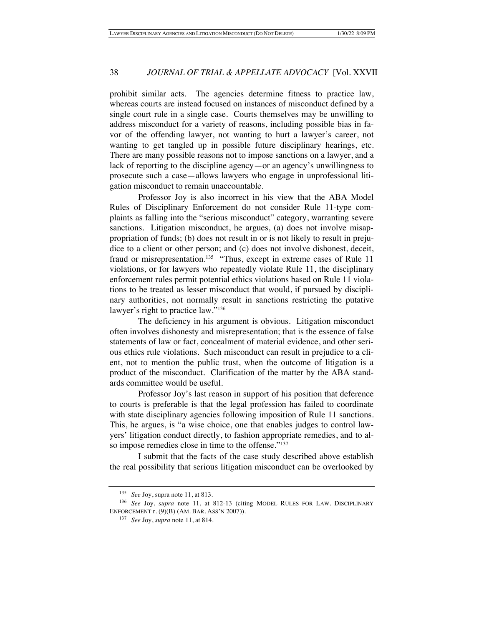prohibit similar acts. The agencies determine fitness to practice law, whereas courts are instead focused on instances of misconduct defined by a single court rule in a single case. Courts themselves may be unwilling to address misconduct for a variety of reasons, including possible bias in favor of the offending lawyer, not wanting to hurt a lawyer's career, not wanting to get tangled up in possible future disciplinary hearings, etc. There are many possible reasons not to impose sanctions on a lawyer, and a lack of reporting to the discipline agency—or an agency's unwillingness to prosecute such a case—allows lawyers who engage in unprofessional litigation misconduct to remain unaccountable.

Professor Joy is also incorrect in his view that the ABA Model Rules of Disciplinary Enforcement do not consider Rule 11-type complaints as falling into the "serious misconduct" category, warranting severe sanctions. Litigation misconduct, he argues, (a) does not involve misappropriation of funds; (b) does not result in or is not likely to result in prejudice to a client or other person; and (c) does not involve dishonest, deceit, fraud or misrepresentation.<sup>135</sup> "Thus, except in extreme cases of Rule 11 violations, or for lawyers who repeatedly violate Rule 11, the disciplinary enforcement rules permit potential ethics violations based on Rule 11 violations to be treated as lesser misconduct that would, if pursued by disciplinary authorities, not normally result in sanctions restricting the putative lawyer's right to practice law."136

The deficiency in his argument is obvious. Litigation misconduct often involves dishonesty and misrepresentation; that is the essence of false statements of law or fact, concealment of material evidence, and other serious ethics rule violations. Such misconduct can result in prejudice to a client, not to mention the public trust, when the outcome of litigation is a product of the misconduct. Clarification of the matter by the ABA standards committee would be useful.

Professor Joy's last reason in support of his position that deference to courts is preferable is that the legal profession has failed to coordinate with state disciplinary agencies following imposition of Rule 11 sanctions. This, he argues, is "a wise choice, one that enables judges to control lawyers' litigation conduct directly, to fashion appropriate remedies, and to also impose remedies close in time to the offense."<sup>137</sup>

I submit that the facts of the case study described above establish the real possibility that serious litigation misconduct can be overlooked by

<sup>135</sup> *See* Joy, supra note 11, at 813.

<sup>136</sup> *See* Joy, *supra* note 11, at 812-13 (citing MODEL RULES FOR LAW. DISCIPLINARY ENFORCEMENT r. (9)(B) (AM. BAR. ASS'N 2007)).

<sup>137</sup> *See* Joy, *supra* note 11, at 814.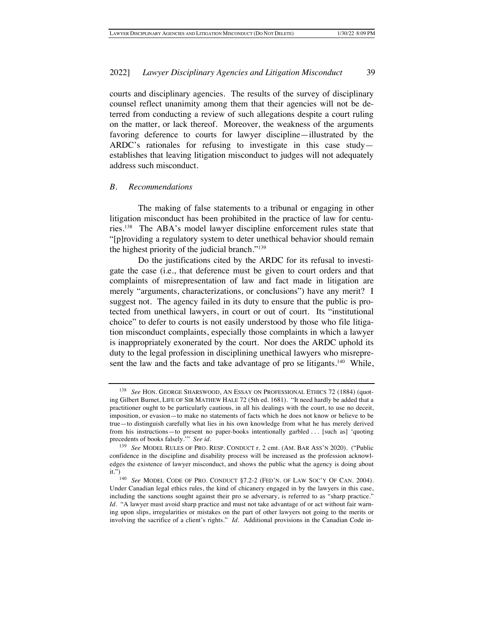courts and disciplinary agencies. The results of the survey of disciplinary counsel reflect unanimity among them that their agencies will not be deterred from conducting a review of such allegations despite a court ruling on the matter, or lack thereof. Moreover, the weakness of the arguments favoring deference to courts for lawyer discipline—illustrated by the ARDC's rationales for refusing to investigate in this case study establishes that leaving litigation misconduct to judges will not adequately address such misconduct.

## *B. Recommendations*

The making of false statements to a tribunal or engaging in other litigation misconduct has been prohibited in the practice of law for centuries.138 The ABA's model lawyer discipline enforcement rules state that "[p]roviding a regulatory system to deter unethical behavior should remain the highest priority of the judicial branch."139

Do the justifications cited by the ARDC for its refusal to investigate the case (i.e., that deference must be given to court orders and that complaints of misrepresentation of law and fact made in litigation are merely "arguments, characterizations, or conclusions") have any merit? I suggest not. The agency failed in its duty to ensure that the public is protected from unethical lawyers, in court or out of court. Its "institutional choice" to defer to courts is not easily understood by those who file litigation misconduct complaints, especially those complaints in which a lawyer is inappropriately exonerated by the court. Nor does the ARDC uphold its duty to the legal profession in disciplining unethical lawyers who misrepresent the law and the facts and take advantage of pro se litigants.<sup>140</sup> While,

<sup>138</sup> *See* HON. GEORGE SHARSWOOD, AN ESSAY ON PROFESSIONAL ETHICS 72 (1884) (quoting Gilbert Burnet, LIFE OF SIR MATHEW HALE 72 (5th ed. 1681). "It need hardly be added that a practitioner ought to be particularly cautious, in all his dealings with the court, to use no deceit, imposition, or evasion—to make no statements of facts which he does not know or believe to be true—to distinguish carefully what lies in his own knowledge from what he has merely derived from his instructions—to present no paper-books intentionally garbled . . . [such as] 'quoting precedents of books falsely.'" *See id.* 

<sup>139</sup> *See* MODEL RULES OF PRO. RESP. CONDUCT r. 2 cmt. (AM. BAR ASS'N 2020). ("Public confidence in the discipline and disability process will be increased as the profession acknowledges the existence of lawyer misconduct, and shows the public what the agency is doing about it.")

<sup>140</sup> *See* MODEL CODE OF PRO. CONDUCT §7.2-2 (FED'N. OF LAW SOC'Y OF CAN. 2004). Under Canadian legal ethics rules, the kind of chicanery engaged in by the lawyers in this case, including the sanctions sought against their pro se adversary, is referred to as "sharp practice." *Id.* "A lawyer must avoid sharp practice and must not take advantage of or act without fair warning upon slips, irregularities or mistakes on the part of other lawyers not going to the merits or involving the sacrifice of a client's rights." *Id.* Additional provisions in the Canadian Code in-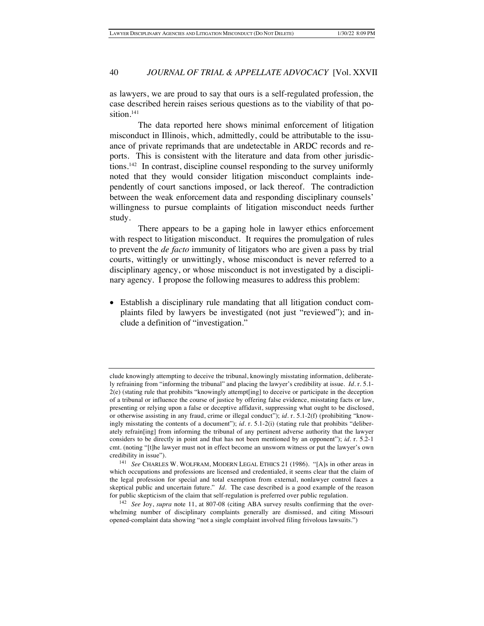as lawyers, we are proud to say that ours is a self-regulated profession, the case described herein raises serious questions as to the viability of that position.<sup>141</sup>

The data reported here shows minimal enforcement of litigation misconduct in Illinois, which, admittedly, could be attributable to the issuance of private reprimands that are undetectable in ARDC records and reports. This is consistent with the literature and data from other jurisdictions.142 In contrast, discipline counsel responding to the survey uniformly noted that they would consider litigation misconduct complaints independently of court sanctions imposed, or lack thereof. The contradiction between the weak enforcement data and responding disciplinary counsels' willingness to pursue complaints of litigation misconduct needs further study.

There appears to be a gaping hole in lawyer ethics enforcement with respect to litigation misconduct. It requires the promulgation of rules to prevent the *de facto* immunity of litigators who are given a pass by trial courts, wittingly or unwittingly, whose misconduct is never referred to a disciplinary agency, or whose misconduct is not investigated by a disciplinary agency. I propose the following measures to address this problem:

• Establish a disciplinary rule mandating that all litigation conduct complaints filed by lawyers be investigated (not just "reviewed"); and include a definition of "investigation."

clude knowingly attempting to deceive the tribunal, knowingly misstating information, deliberately refraining from "informing the tribunal" and placing the lawyer's credibility at issue. *Id.* r. 5.1- 2(e) (stating rule that prohibits "knowingly attempt[ing] to deceive or participate in the deception of a tribunal or influence the course of justice by offering false evidence, misstating facts or law, presenting or relying upon a false or deceptive affidavit, suppressing what ought to be disclosed, or otherwise assisting in any fraud, crime or illegal conduct"); *id.* r. 5.1-2(f) (prohibiting "knowingly misstating the contents of a document"); *id.* r. 5.1-2(i) (stating rule that prohibits "deliberately refrain[ing] from informing the tribunal of any pertinent adverse authority that the lawyer considers to be directly in point and that has not been mentioned by an opponent"); *id.* r. 5.2-1 cmt. (noting "[t]he lawyer must not in effect become an unsworn witness or put the lawyer's own credibility in issue").

<sup>141</sup> *See* CHARLES W. WOLFRAM, MODERN LEGAL ETHICS 21 (1986). "[A]s in other areas in which occupations and professions are licensed and credentialed, it seems clear that the claim of the legal profession for special and total exemption from external, nonlawyer control faces a skeptical public and uncertain future." *Id.* The case described is a good example of the reason for public skepticism of the claim that self-regulation is preferred over public regulation.

<sup>142</sup> *See* Joy, *supra* note 11, at 807-08 (citing ABA survey results confirming that the overwhelming number of disciplinary complaints generally are dismissed, and citing Missouri opened-complaint data showing "not a single complaint involved filing frivolous lawsuits.")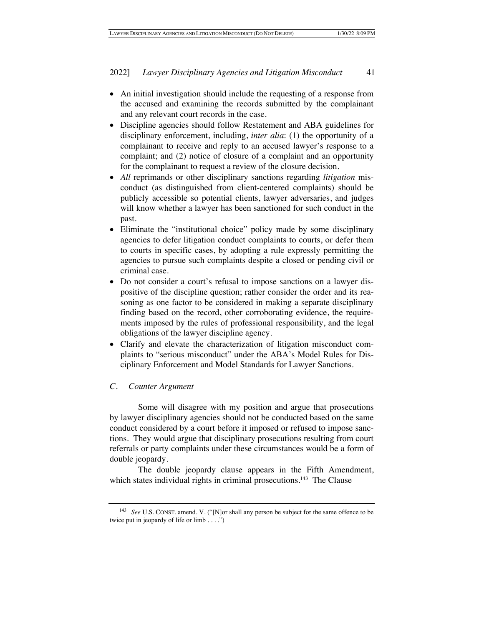- An initial investigation should include the requesting of a response from the accused and examining the records submitted by the complainant and any relevant court records in the case.
- Discipline agencies should follow Restatement and ABA guidelines for disciplinary enforcement, including, *inter alia*: (1) the opportunity of a complainant to receive and reply to an accused lawyer's response to a complaint; and (2) notice of closure of a complaint and an opportunity for the complainant to request a review of the closure decision.
- *All* reprimands or other disciplinary sanctions regarding *litigation* misconduct (as distinguished from client-centered complaints) should be publicly accessible so potential clients, lawyer adversaries, and judges will know whether a lawyer has been sanctioned for such conduct in the past.
- Eliminate the "institutional choice" policy made by some disciplinary agencies to defer litigation conduct complaints to courts, or defer them to courts in specific cases, by adopting a rule expressly permitting the agencies to pursue such complaints despite a closed or pending civil or criminal case.
- Do not consider a court's refusal to impose sanctions on a lawyer dispositive of the discipline question; rather consider the order and its reasoning as one factor to be considered in making a separate disciplinary finding based on the record, other corroborating evidence, the requirements imposed by the rules of professional responsibility, and the legal obligations of the lawyer discipline agency.
- Clarify and elevate the characterization of litigation misconduct complaints to "serious misconduct" under the ABA's Model Rules for Disciplinary Enforcement and Model Standards for Lawyer Sanctions.

## *C. Counter Argument*

Some will disagree with my position and argue that prosecutions by lawyer disciplinary agencies should not be conducted based on the same conduct considered by a court before it imposed or refused to impose sanctions. They would argue that disciplinary prosecutions resulting from court referrals or party complaints under these circumstances would be a form of double jeopardy.

The double jeopardy clause appears in the Fifth Amendment, which states individual rights in criminal prosecutions.<sup>143</sup> The Clause

<sup>143</sup> *See* U.S. CONST. amend. V. ("[N]or shall any person be subject for the same offence to be twice put in jeopardy of life or limb . . . .")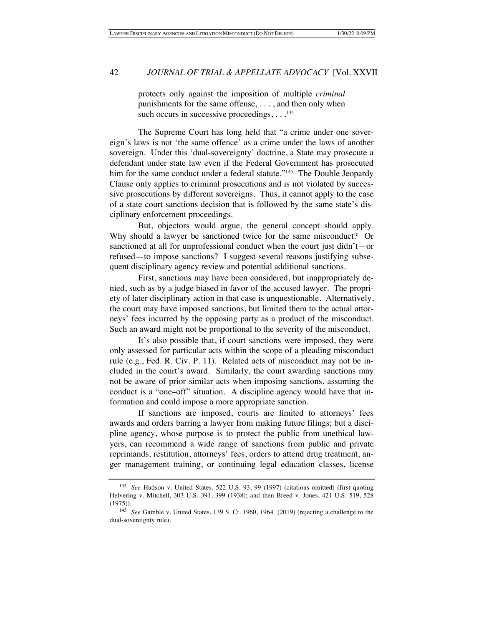protects only against the imposition of multiple *criminal* punishments for the same offense, . . . , and then only when such occurs in successive proceedings, . . .<sup>144</sup>

The Supreme Court has long held that "a crime under one sovereign's laws is not 'the same offence' as a crime under the laws of another sovereign. Under this 'dual-sovereignty' doctrine, a State may prosecute a defendant under state law even if the Federal Government has prosecuted him for the same conduct under a federal statute."<sup>145</sup> The Double Jeopardy Clause only applies to criminal prosecutions and is not violated by successive prosecutions by different sovereigns. Thus, it cannot apply to the case of a state court sanctions decision that is followed by the same state's disciplinary enforcement proceedings.

But, objectors would argue, the general concept should apply. Why should a lawyer be sanctioned twice for the same misconduct? Or sanctioned at all for unprofessional conduct when the court just didn't—or refused—to impose sanctions? I suggest several reasons justifying subsequent disciplinary agency review and potential additional sanctions.

First, sanctions may have been considered, but inappropriately denied, such as by a judge biased in favor of the accused lawyer. The propriety of later disciplinary action in that case is unquestionable. Alternatively, the court may have imposed sanctions, but limited them to the actual attorneys' fees incurred by the opposing party as a product of the misconduct. Such an award might not be proportional to the severity of the misconduct.

It's also possible that, if court sanctions were imposed, they were only assessed for particular acts within the scope of a pleading misconduct rule (e.g., Fed. R. Civ. P. 11). Related acts of misconduct may not be included in the court's award. Similarly, the court awarding sanctions may not be aware of prior similar acts when imposing sanctions, assuming the conduct is a "one–off" situation. A discipline agency would have that information and could impose a more appropriate sanction.

If sanctions are imposed, courts are limited to attorneys' fees awards and orders barring a lawyer from making future filings; but a discipline agency, whose purpose is to protect the public from unethical lawyers, can recommend a wide range of sanctions from public and private reprimands, restitution, attorneys' fees, orders to attend drug treatment, anger management training, or continuing legal education classes, license

<sup>144</sup> *See* Hudson v. United States, 522 U.S. 93, 99 (1997) (citations omitted) (first quoting Helvering v. Mitchell, 303 U.S. 391, 399 (1938); and then Breed v. Jones, 421 U.S. 519, 528 (1975)).

<sup>145</sup> *See* Gamble v. United States, 139 S. Ct. 1960, 1964 (2019) (rejecting a challenge to the dual-sovereignty rule).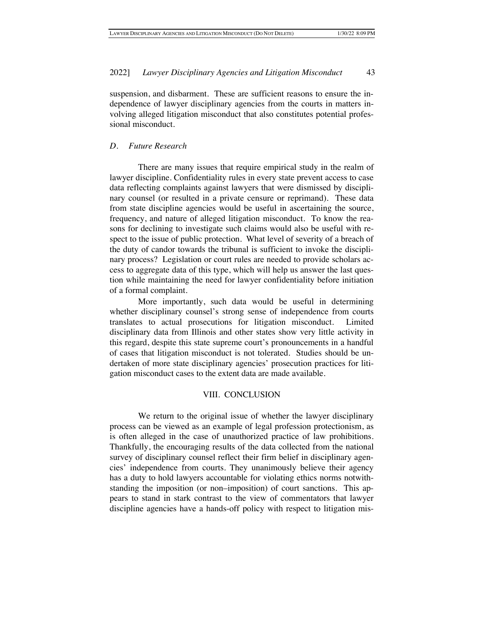suspension, and disbarment. These are sufficient reasons to ensure the independence of lawyer disciplinary agencies from the courts in matters involving alleged litigation misconduct that also constitutes potential professional misconduct.

## *D. Future Research*

There are many issues that require empirical study in the realm of lawyer discipline. Confidentiality rules in every state prevent access to case data reflecting complaints against lawyers that were dismissed by disciplinary counsel (or resulted in a private censure or reprimand). These data from state discipline agencies would be useful in ascertaining the source, frequency, and nature of alleged litigation misconduct. To know the reasons for declining to investigate such claims would also be useful with respect to the issue of public protection. What level of severity of a breach of the duty of candor towards the tribunal is sufficient to invoke the disciplinary process? Legislation or court rules are needed to provide scholars access to aggregate data of this type, which will help us answer the last question while maintaining the need for lawyer confidentiality before initiation of a formal complaint.

More importantly, such data would be useful in determining whether disciplinary counsel's strong sense of independence from courts translates to actual prosecutions for litigation misconduct. Limited disciplinary data from Illinois and other states show very little activity in this regard, despite this state supreme court's pronouncements in a handful of cases that litigation misconduct is not tolerated. Studies should be undertaken of more state disciplinary agencies' prosecution practices for litigation misconduct cases to the extent data are made available.

## VIII. CONCLUSION

We return to the original issue of whether the lawyer disciplinary process can be viewed as an example of legal profession protectionism, as is often alleged in the case of unauthorized practice of law prohibitions. Thankfully, the encouraging results of the data collected from the national survey of disciplinary counsel reflect their firm belief in disciplinary agencies' independence from courts. They unanimously believe their agency has a duty to hold lawyers accountable for violating ethics norms notwithstanding the imposition (or non–imposition) of court sanctions. This appears to stand in stark contrast to the view of commentators that lawyer discipline agencies have a hands-off policy with respect to litigation mis-